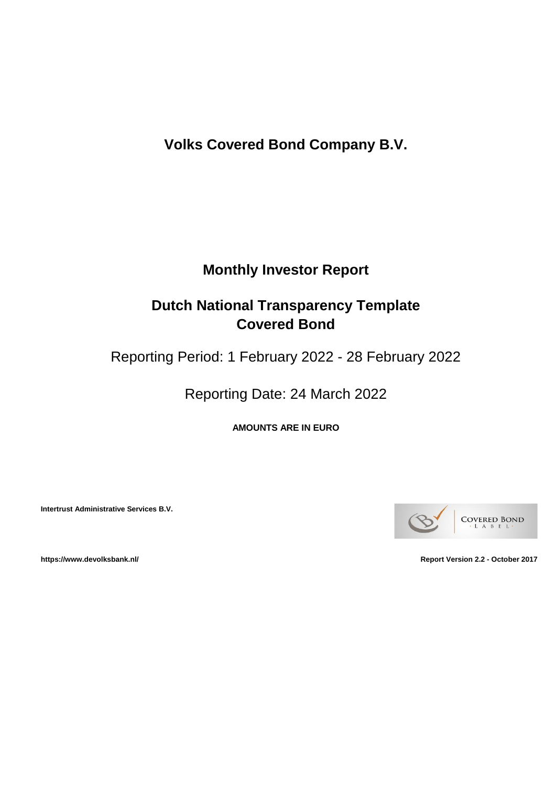**Volks Covered Bond Company B.V.**

# **Monthly Investor Report**

# **Dutch National Transparency Template Covered Bond**

Reporting Period: 1 February 2022 - 28 February 2022

Reporting Date: 24 March 2022

**AMOUNTS ARE IN EURO**

**Intertrust Administrative Services B.V.**



**https://www.devolksbank.nl/ Report Version 2.2 - October 2017**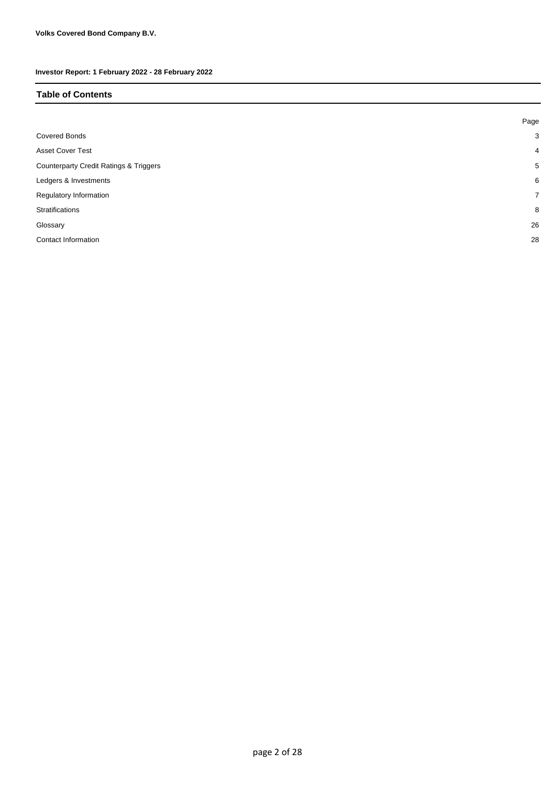#### **Table of Contents**

|                                                   | Page           |
|---------------------------------------------------|----------------|
| <b>Covered Bonds</b>                              | 3              |
| <b>Asset Cover Test</b>                           | $\overline{4}$ |
| <b>Counterparty Credit Ratings &amp; Triggers</b> | 5              |
| Ledgers & Investments                             | 6              |
| Regulatory Information                            | $\overline{7}$ |
| Stratifications                                   | 8              |
| Glossary                                          | 26             |
| Contact Information                               | 28             |
|                                                   |                |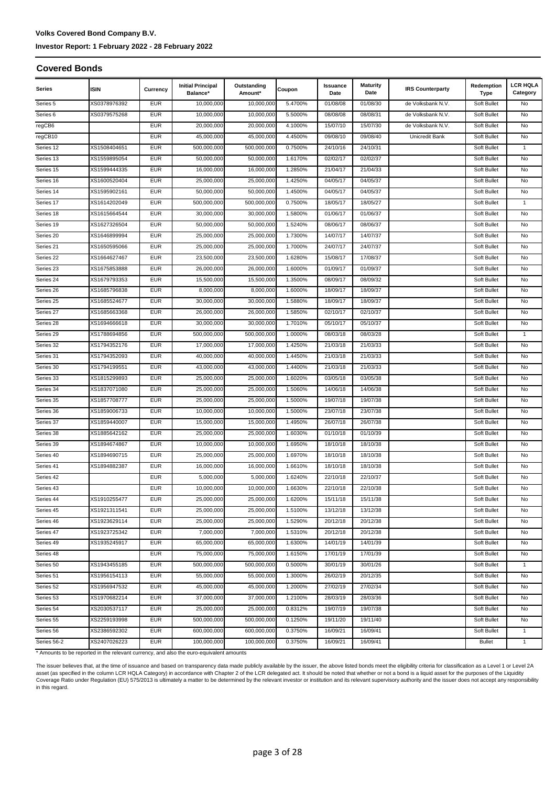# **Volks Covered Bond Company B.V.**

#### **Investor Report: 1 February 2022 - 28 February 2022**

#### **Covered Bonds**

| XS0378976392<br><b>EUR</b><br>10,000,000<br>10,000,000<br>5.4700%<br>01/08/30<br>Series 5<br>01/08/08<br>de Volksbank N.V.<br>Soft Bullet<br>No<br><b>EUR</b><br>Series <sub>6</sub><br>XS0379575268<br>10,000,000<br>10,000,000<br>5.5000%<br>08/08/08<br>08/08/31<br>de Volksbank N.V.<br>Soft Bullet<br>No<br><b>EUR</b><br>15/07/10<br>15/07/30<br>regCB6<br>20,000,000<br>20,000,000<br>4.1000%<br>de Volksbank N.V.<br>Soft Bullet<br>No<br><b>EUR</b><br>regCB10<br>45,000,000<br>4.4500%<br>09/08/40<br>Unicredit Bank<br>No<br>45,000,000<br>09/08/10<br>Soft Bullet<br><b>EUR</b><br>Series 12<br>XS1508404651<br>500,000,000<br>500,000,000<br>0.7500%<br>24/10/16<br>24/10/31<br>Soft Bullet<br>1<br><b>EUR</b><br>02/02/37<br>No<br>Series 13<br>XS1559895054<br>50,000,000<br>50,000,000<br>1.6170%<br>02/02/17<br>Soft Bullet<br><b>EUR</b><br>Series 15<br>XS1599444335<br>16,000,000<br>16,000,000<br>1.2850%<br>21/04/17<br>21/04/33<br>Soft Bullet<br>No<br>Series 16<br>XS1600520404<br><b>EUR</b><br>25,000,000<br>25,000,000<br>1.4250%<br>04/05/17<br>04/05/37<br>Soft Bullet<br>No<br>XS1595902161<br><b>EUR</b><br>50,000,000<br>1.4500%<br>04/05/17<br>04/05/37<br>Series 14<br>50.000.000<br>Soft Bullet<br>No<br><b>EUR</b><br>500,000,000<br>500,000,000<br>0.7500%<br>18/05/27<br>Series 17<br>XS1614202049<br>18/05/17<br>Soft Bullet<br>$\mathbf{1}$<br><b>EUR</b><br>30,000,000<br>30,000,000<br>01/06/37<br>Series 18<br>XS1615664544<br>1.5800%<br>01/06/17<br>Soft Bullet<br>No<br><b>EUR</b><br>50,000,000<br>50,000,000<br>1.5240%<br>08/06/17<br>08/06/37<br>Series 19<br>XS1627326504<br>Soft Bullet<br>No<br>Series 20<br><b>EUR</b><br>25,000,000<br>25,000,000<br>1.7300%<br>14/07/17<br>14/07/37<br>XS1646899994<br>Soft Bullet<br>No<br><b>EUR</b><br>25,000,000<br>25,000,000<br>1.7000%<br>24/07/17<br>24/07/37<br>Series 21<br>XS1650595066<br>Soft Bullet<br>No<br>Series 22<br><b>EUR</b><br>23,500,000<br>15/08/17<br>17/08/37<br>XS1664627467<br>23,500,000<br>1.6280%<br>Soft Bullet<br>No<br><b>EUR</b><br>Series 23<br>XS1675853888<br>26,000,000<br>1.6000%<br>01/09/17<br>01/09/37<br>Soft Bullet<br>No<br>26,000,000<br><b>EUR</b><br>15,500,000<br>Series 24<br>XS1679793353<br>15,500,000<br>1.3500%<br>08/09/17<br>08/09/32<br>Soft Bullet<br>No<br>Series 26<br><b>EUR</b><br>18/09/37<br>XS1685796838<br>8,000,000<br>8,000,000<br>1.6000%<br>18/09/17<br>Soft Bullet<br>No<br><b>EUR</b><br>Series 25<br>XS1685524677<br>30,000,000<br>30,000,000<br>1.5880%<br>18/09/17<br>18/09/37<br>Soft Bullet<br>No<br><b>EUR</b><br>1.5850%<br>02/10/37<br>Series 27<br>XS1685663368<br>26,000,000<br>26,000,000<br>02/10/17<br>Soft Bullet<br>No<br><b>EUR</b><br>Series 28<br>XS1694666618<br>30,000,000<br>30,000,000<br>1.7010%<br>05/10/17<br>05/10/37<br>Soft Bullet<br>No<br><b>EUR</b><br>Series 29<br>XS1788694856<br>500,000,000<br>500.000.000<br>1.0000%<br>08/03/18<br>08/03/28<br>Soft Bullet<br>1<br><b>EUR</b><br>XS1794352176<br>17,000,000<br>1.4250%<br>21/03/18<br>21/03/33<br>Series 32<br>17,000,000<br>Soft Bullet<br>No<br><b>EUR</b><br>Series 31<br>XS1794352093<br>40,000,000<br>40,000,000<br>1.4450%<br>21/03/18<br>21/03/33<br>Soft Bullet<br>No<br><b>EUR</b><br>Series 30<br>XS1794199551<br>43,000,000<br>43,000,000<br>1.4400%<br>21/03/18<br>21/03/33<br>Soft Bullet<br>No<br><b>EUR</b><br>1.6020%<br>03/05/18<br>03/05/38<br>Series 33<br>XS1815299893<br>25,000,000<br>25,000,000<br>Soft Bullet<br>No<br><b>EUR</b><br>Series 34<br>XS1837071080<br>25,000,000<br>25,000,000<br>1.5060%<br>14/06/18<br>14/06/38<br>Soft Bullet<br>No<br><b>EUR</b><br>Series 35<br>XS1857708777<br>25,000,000<br>25,000,000<br>1.5000%<br>19/07/18<br>19/07/38<br>Soft Bullet<br>No<br><b>EUR</b><br>1.5000%<br>23/07/18<br>23/07/38<br>No<br>Series 36<br>XS1859006733<br>10,000,000<br>10,000,000<br>Soft Bullet<br><b>EUR</b><br>Series 37<br>XS1859440007<br>15,000,000<br>15,000,000<br>1.4950%<br>26/07/18<br>26/07/38<br>Soft Bullet<br>No<br><b>EUR</b><br>Series 38<br>XS1885642162<br>25,000,000<br>25,000,000<br>1.6030%<br>01/10/18<br>01/10/39<br>Soft Bullet<br>No<br><b>EUR</b><br>Series 39<br>XS1894674867<br>10,000,000<br>10,000,000<br>1.6950%<br>18/10/18<br>18/10/38<br>Soft Bullet<br>No<br><b>EUR</b><br>Series 40<br>XS1894690715<br>25,000,000<br>25,000,000<br>1.6970%<br>18/10/18<br>18/10/38<br>Soft Bullet<br>No<br><b>EUR</b><br>Series 41<br>XS1894882387<br>16,000,000<br>16,000,000<br>1.6610%<br>18/10/18<br>18/10/38<br>Soft Bullet<br>No<br><b>EUR</b><br>Series 42<br>5,000,000<br>5,000,000<br>1.6240%<br>22/10/18<br>22/10/37<br>Soft Bullet<br>No<br><b>EUR</b><br>Series 43<br>10,000,000<br>10,000,000<br>1.6630%<br>22/10/18<br>22/10/38<br>Soft Bullet<br>No<br><b>EUR</b><br>25,000,000<br>25,000,000<br>Series 44<br>XS1910255477<br>1.6200%<br>15/11/18<br>15/11/38<br>Soft Bullet<br>No<br>Series 45<br><b>EUR</b><br>25,000,000<br>25,000,000<br>13/12/38<br>XS1921311541<br>1.5100%<br>13/12/18<br>Soft Bullet<br>No<br>Series 46<br>XS1923629114<br><b>EUR</b><br>25,000,000<br>25,000,000<br>1.5290%<br>20/12/18<br>20/12/38<br>Soft Bullet<br>No<br>Series 47<br>XS1923725342<br><b>EUR</b><br>7,000,000<br>1.5310%<br>20/12/38<br>7,000,000<br>20/12/18<br>Soft Bullet<br>No<br><b>EUR</b><br>Series 49<br>XS1935245917<br>65,000,000<br>1.6300%<br>14/01/19<br>14/01/39<br>65,000,000<br>Soft Bullet<br>No<br>Series 48<br><b>EUR</b><br>17/01/39<br>75,000,000<br>75,000,000<br>1.6150%<br>17/01/19<br>Soft Bullet<br>No<br>Series 50<br><b>EUR</b><br>30/01/26<br>XS1943455185<br>500,000,000<br>500,000,000<br>0.5000%<br>30/01/19<br>Soft Bullet<br>1<br>Series 51<br>XS1956154113<br><b>EUR</b><br>55,000,000<br>1.3000%<br>26/02/19<br>20/12/35<br>55,000,000<br>Soft Bullet<br>No<br>Series 52<br><b>EUR</b><br>27/02/34<br>XS1956947532<br>45,000,000<br>45,000,000<br>1.2000%<br>27/02/19<br>Soft Bullet<br>No<br><b>EUR</b><br>Series 53<br>XS1970682214<br>37,000,000<br>37,000,000<br>1.2100%<br>28/03/19<br>28/03/36<br>Soft Bullet<br>No<br>Series 54<br><b>EUR</b><br>19/07/38<br>XS2030537117<br>25,000,000<br>25,000,000<br>0.8312%<br>19/07/19<br>Soft Bullet<br>No<br><b>EUR</b><br>19/11/40<br>Series 55<br>XS2259193998<br>500,000,000<br>500,000,000<br>0.1250%<br>19/11/20<br>Soft Bullet<br>No<br><b>EUR</b><br>Series 56<br>XS2386592302<br>600,000,000<br>600,000,000<br>0.3750%<br>16/09/21<br>16/09/41<br>Soft Bullet<br>1<br>Series 56-2<br><b>EUR</b><br>0.3750%<br>XS2407026223<br>100,000,000<br>100,000,000<br>16/09/21<br>16/09/41<br>$\mathbf{1}$<br>Bullet<br>* Amounts to be reported in the relevant currency, and also the euro-equivalent amounts | Series | <b>ISIN</b> | Currency | <b>Initial Principal</b><br>Balance* | Outstanding<br>Amount* | Coupon | Issuance<br>Date | <b>Maturity</b><br>Date | <b>IRS Counterparty</b> | Redemption<br>Type | <b>LCR HQLA</b><br>Category |
|---------------------------------------------------------------------------------------------------------------------------------------------------------------------------------------------------------------------------------------------------------------------------------------------------------------------------------------------------------------------------------------------------------------------------------------------------------------------------------------------------------------------------------------------------------------------------------------------------------------------------------------------------------------------------------------------------------------------------------------------------------------------------------------------------------------------------------------------------------------------------------------------------------------------------------------------------------------------------------------------------------------------------------------------------------------------------------------------------------------------------------------------------------------------------------------------------------------------------------------------------------------------------------------------------------------------------------------------------------------------------------------------------------------------------------------------------------------------------------------------------------------------------------------------------------------------------------------------------------------------------------------------------------------------------------------------------------------------------------------------------------------------------------------------------------------------------------------------------------------------------------------------------------------------------------------------------------------------------------------------------------------------------------------------------------------------------------------------------------------------------------------------------------------------------------------------------------------------------------------------------------------------------------------------------------------------------------------------------------------------------------------------------------------------------------------------------------------------------------------------------------------------------------------------------------------------------------------------------------------------------------------------------------------------------------------------------------------------------------------------------------------------------------------------------------------------------------------------------------------------------------------------------------------------------------------------------------------------------------------------------------------------------------------------------------------------------------------------------------------------------------------------------------------------------------------------------------------------------------------------------------------------------------------------------------------------------------------------------------------------------------------------------------------------------------------------------------------------------------------------------------------------------------------------------------------------------------------------------------------------------------------------------------------------------------------------------------------------------------------------------------------------------------------------------------------------------------------------------------------------------------------------------------------------------------------------------------------------------------------------------------------------------------------------------------------------------------------------------------------------------------------------------------------------------------------------------------------------------------------------------------------------------------------------------------------------------------------------------------------------------------------------------------------------------------------------------------------------------------------------------------------------------------------------------------------------------------------------------------------------------------------------------------------------------------------------------------------------------------------------------------------------------------------------------------------------------------------------------------------------------------------------------------------------------------------------------------------------------------------------------------------------------------------------------------------------------------------------------------------------------------------------------------------------------------------------------------------------------------------------------------------------------------------------------------------------------------------------------------------------------------------------------------------------------------------------------------------------------------------------------------------------------------------------------------------------------------------------------------------------------------------------------------------------------------------------------------------------------------------------------------------------------------------------------------------------------------------------------------------------------------------------------------------------------------------------------------------------------------------------------------------------------------------------------------------------------------------------------------------------------------------------------------------------------------------------------------------------------------------------------------------------------------------------------------------------------------------------------------------------------------------------------------------------------------------------------------------------------------------------------------------------------------------------------------------------------------------------------------------------------------------------------------------------------------------------------------------------------------|--------|-------------|----------|--------------------------------------|------------------------|--------|------------------|-------------------------|-------------------------|--------------------|-----------------------------|
|                                                                                                                                                                                                                                                                                                                                                                                                                                                                                                                                                                                                                                                                                                                                                                                                                                                                                                                                                                                                                                                                                                                                                                                                                                                                                                                                                                                                                                                                                                                                                                                                                                                                                                                                                                                                                                                                                                                                                                                                                                                                                                                                                                                                                                                                                                                                                                                                                                                                                                                                                                                                                                                                                                                                                                                                                                                                                                                                                                                                                                                                                                                                                                                                                                                                                                                                                                                                                                                                                                                                                                                                                                                                                                                                                                                                                                                                                                                                                                                                                                                                                                                                                                                                                                                                                                                                                                                                                                                                                                                                                                                                                                                                                                                                                                                                                                                                                                                                                                                                                                                                                                                                                                                                                                                                                                                                                                                                                                                                                                                                                                                                                                                                                                                                                                                                                                                                                                                                                                                                                                                                                                                                                                                                                                                                                                                                                                                                                                                                                                                                                                                                                                                                                                                                 |        |             |          |                                      |                        |        |                  |                         |                         |                    |                             |
|                                                                                                                                                                                                                                                                                                                                                                                                                                                                                                                                                                                                                                                                                                                                                                                                                                                                                                                                                                                                                                                                                                                                                                                                                                                                                                                                                                                                                                                                                                                                                                                                                                                                                                                                                                                                                                                                                                                                                                                                                                                                                                                                                                                                                                                                                                                                                                                                                                                                                                                                                                                                                                                                                                                                                                                                                                                                                                                                                                                                                                                                                                                                                                                                                                                                                                                                                                                                                                                                                                                                                                                                                                                                                                                                                                                                                                                                                                                                                                                                                                                                                                                                                                                                                                                                                                                                                                                                                                                                                                                                                                                                                                                                                                                                                                                                                                                                                                                                                                                                                                                                                                                                                                                                                                                                                                                                                                                                                                                                                                                                                                                                                                                                                                                                                                                                                                                                                                                                                                                                                                                                                                                                                                                                                                                                                                                                                                                                                                                                                                                                                                                                                                                                                                                                 |        |             |          |                                      |                        |        |                  |                         |                         |                    |                             |
|                                                                                                                                                                                                                                                                                                                                                                                                                                                                                                                                                                                                                                                                                                                                                                                                                                                                                                                                                                                                                                                                                                                                                                                                                                                                                                                                                                                                                                                                                                                                                                                                                                                                                                                                                                                                                                                                                                                                                                                                                                                                                                                                                                                                                                                                                                                                                                                                                                                                                                                                                                                                                                                                                                                                                                                                                                                                                                                                                                                                                                                                                                                                                                                                                                                                                                                                                                                                                                                                                                                                                                                                                                                                                                                                                                                                                                                                                                                                                                                                                                                                                                                                                                                                                                                                                                                                                                                                                                                                                                                                                                                                                                                                                                                                                                                                                                                                                                                                                                                                                                                                                                                                                                                                                                                                                                                                                                                                                                                                                                                                                                                                                                                                                                                                                                                                                                                                                                                                                                                                                                                                                                                                                                                                                                                                                                                                                                                                                                                                                                                                                                                                                                                                                                                                 |        |             |          |                                      |                        |        |                  |                         |                         |                    |                             |
|                                                                                                                                                                                                                                                                                                                                                                                                                                                                                                                                                                                                                                                                                                                                                                                                                                                                                                                                                                                                                                                                                                                                                                                                                                                                                                                                                                                                                                                                                                                                                                                                                                                                                                                                                                                                                                                                                                                                                                                                                                                                                                                                                                                                                                                                                                                                                                                                                                                                                                                                                                                                                                                                                                                                                                                                                                                                                                                                                                                                                                                                                                                                                                                                                                                                                                                                                                                                                                                                                                                                                                                                                                                                                                                                                                                                                                                                                                                                                                                                                                                                                                                                                                                                                                                                                                                                                                                                                                                                                                                                                                                                                                                                                                                                                                                                                                                                                                                                                                                                                                                                                                                                                                                                                                                                                                                                                                                                                                                                                                                                                                                                                                                                                                                                                                                                                                                                                                                                                                                                                                                                                                                                                                                                                                                                                                                                                                                                                                                                                                                                                                                                                                                                                                                                 |        |             |          |                                      |                        |        |                  |                         |                         |                    |                             |
|                                                                                                                                                                                                                                                                                                                                                                                                                                                                                                                                                                                                                                                                                                                                                                                                                                                                                                                                                                                                                                                                                                                                                                                                                                                                                                                                                                                                                                                                                                                                                                                                                                                                                                                                                                                                                                                                                                                                                                                                                                                                                                                                                                                                                                                                                                                                                                                                                                                                                                                                                                                                                                                                                                                                                                                                                                                                                                                                                                                                                                                                                                                                                                                                                                                                                                                                                                                                                                                                                                                                                                                                                                                                                                                                                                                                                                                                                                                                                                                                                                                                                                                                                                                                                                                                                                                                                                                                                                                                                                                                                                                                                                                                                                                                                                                                                                                                                                                                                                                                                                                                                                                                                                                                                                                                                                                                                                                                                                                                                                                                                                                                                                                                                                                                                                                                                                                                                                                                                                                                                                                                                                                                                                                                                                                                                                                                                                                                                                                                                                                                                                                                                                                                                                                                 |        |             |          |                                      |                        |        |                  |                         |                         |                    |                             |
|                                                                                                                                                                                                                                                                                                                                                                                                                                                                                                                                                                                                                                                                                                                                                                                                                                                                                                                                                                                                                                                                                                                                                                                                                                                                                                                                                                                                                                                                                                                                                                                                                                                                                                                                                                                                                                                                                                                                                                                                                                                                                                                                                                                                                                                                                                                                                                                                                                                                                                                                                                                                                                                                                                                                                                                                                                                                                                                                                                                                                                                                                                                                                                                                                                                                                                                                                                                                                                                                                                                                                                                                                                                                                                                                                                                                                                                                                                                                                                                                                                                                                                                                                                                                                                                                                                                                                                                                                                                                                                                                                                                                                                                                                                                                                                                                                                                                                                                                                                                                                                                                                                                                                                                                                                                                                                                                                                                                                                                                                                                                                                                                                                                                                                                                                                                                                                                                                                                                                                                                                                                                                                                                                                                                                                                                                                                                                                                                                                                                                                                                                                                                                                                                                                                                 |        |             |          |                                      |                        |        |                  |                         |                         |                    |                             |
|                                                                                                                                                                                                                                                                                                                                                                                                                                                                                                                                                                                                                                                                                                                                                                                                                                                                                                                                                                                                                                                                                                                                                                                                                                                                                                                                                                                                                                                                                                                                                                                                                                                                                                                                                                                                                                                                                                                                                                                                                                                                                                                                                                                                                                                                                                                                                                                                                                                                                                                                                                                                                                                                                                                                                                                                                                                                                                                                                                                                                                                                                                                                                                                                                                                                                                                                                                                                                                                                                                                                                                                                                                                                                                                                                                                                                                                                                                                                                                                                                                                                                                                                                                                                                                                                                                                                                                                                                                                                                                                                                                                                                                                                                                                                                                                                                                                                                                                                                                                                                                                                                                                                                                                                                                                                                                                                                                                                                                                                                                                                                                                                                                                                                                                                                                                                                                                                                                                                                                                                                                                                                                                                                                                                                                                                                                                                                                                                                                                                                                                                                                                                                                                                                                                                 |        |             |          |                                      |                        |        |                  |                         |                         |                    |                             |
|                                                                                                                                                                                                                                                                                                                                                                                                                                                                                                                                                                                                                                                                                                                                                                                                                                                                                                                                                                                                                                                                                                                                                                                                                                                                                                                                                                                                                                                                                                                                                                                                                                                                                                                                                                                                                                                                                                                                                                                                                                                                                                                                                                                                                                                                                                                                                                                                                                                                                                                                                                                                                                                                                                                                                                                                                                                                                                                                                                                                                                                                                                                                                                                                                                                                                                                                                                                                                                                                                                                                                                                                                                                                                                                                                                                                                                                                                                                                                                                                                                                                                                                                                                                                                                                                                                                                                                                                                                                                                                                                                                                                                                                                                                                                                                                                                                                                                                                                                                                                                                                                                                                                                                                                                                                                                                                                                                                                                                                                                                                                                                                                                                                                                                                                                                                                                                                                                                                                                                                                                                                                                                                                                                                                                                                                                                                                                                                                                                                                                                                                                                                                                                                                                                                                 |        |             |          |                                      |                        |        |                  |                         |                         |                    |                             |
|                                                                                                                                                                                                                                                                                                                                                                                                                                                                                                                                                                                                                                                                                                                                                                                                                                                                                                                                                                                                                                                                                                                                                                                                                                                                                                                                                                                                                                                                                                                                                                                                                                                                                                                                                                                                                                                                                                                                                                                                                                                                                                                                                                                                                                                                                                                                                                                                                                                                                                                                                                                                                                                                                                                                                                                                                                                                                                                                                                                                                                                                                                                                                                                                                                                                                                                                                                                                                                                                                                                                                                                                                                                                                                                                                                                                                                                                                                                                                                                                                                                                                                                                                                                                                                                                                                                                                                                                                                                                                                                                                                                                                                                                                                                                                                                                                                                                                                                                                                                                                                                                                                                                                                                                                                                                                                                                                                                                                                                                                                                                                                                                                                                                                                                                                                                                                                                                                                                                                                                                                                                                                                                                                                                                                                                                                                                                                                                                                                                                                                                                                                                                                                                                                                                                 |        |             |          |                                      |                        |        |                  |                         |                         |                    |                             |
|                                                                                                                                                                                                                                                                                                                                                                                                                                                                                                                                                                                                                                                                                                                                                                                                                                                                                                                                                                                                                                                                                                                                                                                                                                                                                                                                                                                                                                                                                                                                                                                                                                                                                                                                                                                                                                                                                                                                                                                                                                                                                                                                                                                                                                                                                                                                                                                                                                                                                                                                                                                                                                                                                                                                                                                                                                                                                                                                                                                                                                                                                                                                                                                                                                                                                                                                                                                                                                                                                                                                                                                                                                                                                                                                                                                                                                                                                                                                                                                                                                                                                                                                                                                                                                                                                                                                                                                                                                                                                                                                                                                                                                                                                                                                                                                                                                                                                                                                                                                                                                                                                                                                                                                                                                                                                                                                                                                                                                                                                                                                                                                                                                                                                                                                                                                                                                                                                                                                                                                                                                                                                                                                                                                                                                                                                                                                                                                                                                                                                                                                                                                                                                                                                                                                 |        |             |          |                                      |                        |        |                  |                         |                         |                    |                             |
|                                                                                                                                                                                                                                                                                                                                                                                                                                                                                                                                                                                                                                                                                                                                                                                                                                                                                                                                                                                                                                                                                                                                                                                                                                                                                                                                                                                                                                                                                                                                                                                                                                                                                                                                                                                                                                                                                                                                                                                                                                                                                                                                                                                                                                                                                                                                                                                                                                                                                                                                                                                                                                                                                                                                                                                                                                                                                                                                                                                                                                                                                                                                                                                                                                                                                                                                                                                                                                                                                                                                                                                                                                                                                                                                                                                                                                                                                                                                                                                                                                                                                                                                                                                                                                                                                                                                                                                                                                                                                                                                                                                                                                                                                                                                                                                                                                                                                                                                                                                                                                                                                                                                                                                                                                                                                                                                                                                                                                                                                                                                                                                                                                                                                                                                                                                                                                                                                                                                                                                                                                                                                                                                                                                                                                                                                                                                                                                                                                                                                                                                                                                                                                                                                                                                 |        |             |          |                                      |                        |        |                  |                         |                         |                    |                             |
|                                                                                                                                                                                                                                                                                                                                                                                                                                                                                                                                                                                                                                                                                                                                                                                                                                                                                                                                                                                                                                                                                                                                                                                                                                                                                                                                                                                                                                                                                                                                                                                                                                                                                                                                                                                                                                                                                                                                                                                                                                                                                                                                                                                                                                                                                                                                                                                                                                                                                                                                                                                                                                                                                                                                                                                                                                                                                                                                                                                                                                                                                                                                                                                                                                                                                                                                                                                                                                                                                                                                                                                                                                                                                                                                                                                                                                                                                                                                                                                                                                                                                                                                                                                                                                                                                                                                                                                                                                                                                                                                                                                                                                                                                                                                                                                                                                                                                                                                                                                                                                                                                                                                                                                                                                                                                                                                                                                                                                                                                                                                                                                                                                                                                                                                                                                                                                                                                                                                                                                                                                                                                                                                                                                                                                                                                                                                                                                                                                                                                                                                                                                                                                                                                                                                 |        |             |          |                                      |                        |        |                  |                         |                         |                    |                             |
|                                                                                                                                                                                                                                                                                                                                                                                                                                                                                                                                                                                                                                                                                                                                                                                                                                                                                                                                                                                                                                                                                                                                                                                                                                                                                                                                                                                                                                                                                                                                                                                                                                                                                                                                                                                                                                                                                                                                                                                                                                                                                                                                                                                                                                                                                                                                                                                                                                                                                                                                                                                                                                                                                                                                                                                                                                                                                                                                                                                                                                                                                                                                                                                                                                                                                                                                                                                                                                                                                                                                                                                                                                                                                                                                                                                                                                                                                                                                                                                                                                                                                                                                                                                                                                                                                                                                                                                                                                                                                                                                                                                                                                                                                                                                                                                                                                                                                                                                                                                                                                                                                                                                                                                                                                                                                                                                                                                                                                                                                                                                                                                                                                                                                                                                                                                                                                                                                                                                                                                                                                                                                                                                                                                                                                                                                                                                                                                                                                                                                                                                                                                                                                                                                                                                 |        |             |          |                                      |                        |        |                  |                         |                         |                    |                             |
|                                                                                                                                                                                                                                                                                                                                                                                                                                                                                                                                                                                                                                                                                                                                                                                                                                                                                                                                                                                                                                                                                                                                                                                                                                                                                                                                                                                                                                                                                                                                                                                                                                                                                                                                                                                                                                                                                                                                                                                                                                                                                                                                                                                                                                                                                                                                                                                                                                                                                                                                                                                                                                                                                                                                                                                                                                                                                                                                                                                                                                                                                                                                                                                                                                                                                                                                                                                                                                                                                                                                                                                                                                                                                                                                                                                                                                                                                                                                                                                                                                                                                                                                                                                                                                                                                                                                                                                                                                                                                                                                                                                                                                                                                                                                                                                                                                                                                                                                                                                                                                                                                                                                                                                                                                                                                                                                                                                                                                                                                                                                                                                                                                                                                                                                                                                                                                                                                                                                                                                                                                                                                                                                                                                                                                                                                                                                                                                                                                                                                                                                                                                                                                                                                                                                 |        |             |          |                                      |                        |        |                  |                         |                         |                    |                             |
|                                                                                                                                                                                                                                                                                                                                                                                                                                                                                                                                                                                                                                                                                                                                                                                                                                                                                                                                                                                                                                                                                                                                                                                                                                                                                                                                                                                                                                                                                                                                                                                                                                                                                                                                                                                                                                                                                                                                                                                                                                                                                                                                                                                                                                                                                                                                                                                                                                                                                                                                                                                                                                                                                                                                                                                                                                                                                                                                                                                                                                                                                                                                                                                                                                                                                                                                                                                                                                                                                                                                                                                                                                                                                                                                                                                                                                                                                                                                                                                                                                                                                                                                                                                                                                                                                                                                                                                                                                                                                                                                                                                                                                                                                                                                                                                                                                                                                                                                                                                                                                                                                                                                                                                                                                                                                                                                                                                                                                                                                                                                                                                                                                                                                                                                                                                                                                                                                                                                                                                                                                                                                                                                                                                                                                                                                                                                                                                                                                                                                                                                                                                                                                                                                                                                 |        |             |          |                                      |                        |        |                  |                         |                         |                    |                             |
|                                                                                                                                                                                                                                                                                                                                                                                                                                                                                                                                                                                                                                                                                                                                                                                                                                                                                                                                                                                                                                                                                                                                                                                                                                                                                                                                                                                                                                                                                                                                                                                                                                                                                                                                                                                                                                                                                                                                                                                                                                                                                                                                                                                                                                                                                                                                                                                                                                                                                                                                                                                                                                                                                                                                                                                                                                                                                                                                                                                                                                                                                                                                                                                                                                                                                                                                                                                                                                                                                                                                                                                                                                                                                                                                                                                                                                                                                                                                                                                                                                                                                                                                                                                                                                                                                                                                                                                                                                                                                                                                                                                                                                                                                                                                                                                                                                                                                                                                                                                                                                                                                                                                                                                                                                                                                                                                                                                                                                                                                                                                                                                                                                                                                                                                                                                                                                                                                                                                                                                                                                                                                                                                                                                                                                                                                                                                                                                                                                                                                                                                                                                                                                                                                                                                 |        |             |          |                                      |                        |        |                  |                         |                         |                    |                             |
|                                                                                                                                                                                                                                                                                                                                                                                                                                                                                                                                                                                                                                                                                                                                                                                                                                                                                                                                                                                                                                                                                                                                                                                                                                                                                                                                                                                                                                                                                                                                                                                                                                                                                                                                                                                                                                                                                                                                                                                                                                                                                                                                                                                                                                                                                                                                                                                                                                                                                                                                                                                                                                                                                                                                                                                                                                                                                                                                                                                                                                                                                                                                                                                                                                                                                                                                                                                                                                                                                                                                                                                                                                                                                                                                                                                                                                                                                                                                                                                                                                                                                                                                                                                                                                                                                                                                                                                                                                                                                                                                                                                                                                                                                                                                                                                                                                                                                                                                                                                                                                                                                                                                                                                                                                                                                                                                                                                                                                                                                                                                                                                                                                                                                                                                                                                                                                                                                                                                                                                                                                                                                                                                                                                                                                                                                                                                                                                                                                                                                                                                                                                                                                                                                                                                 |        |             |          |                                      |                        |        |                  |                         |                         |                    |                             |
|                                                                                                                                                                                                                                                                                                                                                                                                                                                                                                                                                                                                                                                                                                                                                                                                                                                                                                                                                                                                                                                                                                                                                                                                                                                                                                                                                                                                                                                                                                                                                                                                                                                                                                                                                                                                                                                                                                                                                                                                                                                                                                                                                                                                                                                                                                                                                                                                                                                                                                                                                                                                                                                                                                                                                                                                                                                                                                                                                                                                                                                                                                                                                                                                                                                                                                                                                                                                                                                                                                                                                                                                                                                                                                                                                                                                                                                                                                                                                                                                                                                                                                                                                                                                                                                                                                                                                                                                                                                                                                                                                                                                                                                                                                                                                                                                                                                                                                                                                                                                                                                                                                                                                                                                                                                                                                                                                                                                                                                                                                                                                                                                                                                                                                                                                                                                                                                                                                                                                                                                                                                                                                                                                                                                                                                                                                                                                                                                                                                                                                                                                                                                                                                                                                                                 |        |             |          |                                      |                        |        |                  |                         |                         |                    |                             |
|                                                                                                                                                                                                                                                                                                                                                                                                                                                                                                                                                                                                                                                                                                                                                                                                                                                                                                                                                                                                                                                                                                                                                                                                                                                                                                                                                                                                                                                                                                                                                                                                                                                                                                                                                                                                                                                                                                                                                                                                                                                                                                                                                                                                                                                                                                                                                                                                                                                                                                                                                                                                                                                                                                                                                                                                                                                                                                                                                                                                                                                                                                                                                                                                                                                                                                                                                                                                                                                                                                                                                                                                                                                                                                                                                                                                                                                                                                                                                                                                                                                                                                                                                                                                                                                                                                                                                                                                                                                                                                                                                                                                                                                                                                                                                                                                                                                                                                                                                                                                                                                                                                                                                                                                                                                                                                                                                                                                                                                                                                                                                                                                                                                                                                                                                                                                                                                                                                                                                                                                                                                                                                                                                                                                                                                                                                                                                                                                                                                                                                                                                                                                                                                                                                                                 |        |             |          |                                      |                        |        |                  |                         |                         |                    |                             |
|                                                                                                                                                                                                                                                                                                                                                                                                                                                                                                                                                                                                                                                                                                                                                                                                                                                                                                                                                                                                                                                                                                                                                                                                                                                                                                                                                                                                                                                                                                                                                                                                                                                                                                                                                                                                                                                                                                                                                                                                                                                                                                                                                                                                                                                                                                                                                                                                                                                                                                                                                                                                                                                                                                                                                                                                                                                                                                                                                                                                                                                                                                                                                                                                                                                                                                                                                                                                                                                                                                                                                                                                                                                                                                                                                                                                                                                                                                                                                                                                                                                                                                                                                                                                                                                                                                                                                                                                                                                                                                                                                                                                                                                                                                                                                                                                                                                                                                                                                                                                                                                                                                                                                                                                                                                                                                                                                                                                                                                                                                                                                                                                                                                                                                                                                                                                                                                                                                                                                                                                                                                                                                                                                                                                                                                                                                                                                                                                                                                                                                                                                                                                                                                                                                                                 |        |             |          |                                      |                        |        |                  |                         |                         |                    |                             |
|                                                                                                                                                                                                                                                                                                                                                                                                                                                                                                                                                                                                                                                                                                                                                                                                                                                                                                                                                                                                                                                                                                                                                                                                                                                                                                                                                                                                                                                                                                                                                                                                                                                                                                                                                                                                                                                                                                                                                                                                                                                                                                                                                                                                                                                                                                                                                                                                                                                                                                                                                                                                                                                                                                                                                                                                                                                                                                                                                                                                                                                                                                                                                                                                                                                                                                                                                                                                                                                                                                                                                                                                                                                                                                                                                                                                                                                                                                                                                                                                                                                                                                                                                                                                                                                                                                                                                                                                                                                                                                                                                                                                                                                                                                                                                                                                                                                                                                                                                                                                                                                                                                                                                                                                                                                                                                                                                                                                                                                                                                                                                                                                                                                                                                                                                                                                                                                                                                                                                                                                                                                                                                                                                                                                                                                                                                                                                                                                                                                                                                                                                                                                                                                                                                                                 |        |             |          |                                      |                        |        |                  |                         |                         |                    |                             |
|                                                                                                                                                                                                                                                                                                                                                                                                                                                                                                                                                                                                                                                                                                                                                                                                                                                                                                                                                                                                                                                                                                                                                                                                                                                                                                                                                                                                                                                                                                                                                                                                                                                                                                                                                                                                                                                                                                                                                                                                                                                                                                                                                                                                                                                                                                                                                                                                                                                                                                                                                                                                                                                                                                                                                                                                                                                                                                                                                                                                                                                                                                                                                                                                                                                                                                                                                                                                                                                                                                                                                                                                                                                                                                                                                                                                                                                                                                                                                                                                                                                                                                                                                                                                                                                                                                                                                                                                                                                                                                                                                                                                                                                                                                                                                                                                                                                                                                                                                                                                                                                                                                                                                                                                                                                                                                                                                                                                                                                                                                                                                                                                                                                                                                                                                                                                                                                                                                                                                                                                                                                                                                                                                                                                                                                                                                                                                                                                                                                                                                                                                                                                                                                                                                                                 |        |             |          |                                      |                        |        |                  |                         |                         |                    |                             |
|                                                                                                                                                                                                                                                                                                                                                                                                                                                                                                                                                                                                                                                                                                                                                                                                                                                                                                                                                                                                                                                                                                                                                                                                                                                                                                                                                                                                                                                                                                                                                                                                                                                                                                                                                                                                                                                                                                                                                                                                                                                                                                                                                                                                                                                                                                                                                                                                                                                                                                                                                                                                                                                                                                                                                                                                                                                                                                                                                                                                                                                                                                                                                                                                                                                                                                                                                                                                                                                                                                                                                                                                                                                                                                                                                                                                                                                                                                                                                                                                                                                                                                                                                                                                                                                                                                                                                                                                                                                                                                                                                                                                                                                                                                                                                                                                                                                                                                                                                                                                                                                                                                                                                                                                                                                                                                                                                                                                                                                                                                                                                                                                                                                                                                                                                                                                                                                                                                                                                                                                                                                                                                                                                                                                                                                                                                                                                                                                                                                                                                                                                                                                                                                                                                                                 |        |             |          |                                      |                        |        |                  |                         |                         |                    |                             |
|                                                                                                                                                                                                                                                                                                                                                                                                                                                                                                                                                                                                                                                                                                                                                                                                                                                                                                                                                                                                                                                                                                                                                                                                                                                                                                                                                                                                                                                                                                                                                                                                                                                                                                                                                                                                                                                                                                                                                                                                                                                                                                                                                                                                                                                                                                                                                                                                                                                                                                                                                                                                                                                                                                                                                                                                                                                                                                                                                                                                                                                                                                                                                                                                                                                                                                                                                                                                                                                                                                                                                                                                                                                                                                                                                                                                                                                                                                                                                                                                                                                                                                                                                                                                                                                                                                                                                                                                                                                                                                                                                                                                                                                                                                                                                                                                                                                                                                                                                                                                                                                                                                                                                                                                                                                                                                                                                                                                                                                                                                                                                                                                                                                                                                                                                                                                                                                                                                                                                                                                                                                                                                                                                                                                                                                                                                                                                                                                                                                                                                                                                                                                                                                                                                                                 |        |             |          |                                      |                        |        |                  |                         |                         |                    |                             |
|                                                                                                                                                                                                                                                                                                                                                                                                                                                                                                                                                                                                                                                                                                                                                                                                                                                                                                                                                                                                                                                                                                                                                                                                                                                                                                                                                                                                                                                                                                                                                                                                                                                                                                                                                                                                                                                                                                                                                                                                                                                                                                                                                                                                                                                                                                                                                                                                                                                                                                                                                                                                                                                                                                                                                                                                                                                                                                                                                                                                                                                                                                                                                                                                                                                                                                                                                                                                                                                                                                                                                                                                                                                                                                                                                                                                                                                                                                                                                                                                                                                                                                                                                                                                                                                                                                                                                                                                                                                                                                                                                                                                                                                                                                                                                                                                                                                                                                                                                                                                                                                                                                                                                                                                                                                                                                                                                                                                                                                                                                                                                                                                                                                                                                                                                                                                                                                                                                                                                                                                                                                                                                                                                                                                                                                                                                                                                                                                                                                                                                                                                                                                                                                                                                                                 |        |             |          |                                      |                        |        |                  |                         |                         |                    |                             |
|                                                                                                                                                                                                                                                                                                                                                                                                                                                                                                                                                                                                                                                                                                                                                                                                                                                                                                                                                                                                                                                                                                                                                                                                                                                                                                                                                                                                                                                                                                                                                                                                                                                                                                                                                                                                                                                                                                                                                                                                                                                                                                                                                                                                                                                                                                                                                                                                                                                                                                                                                                                                                                                                                                                                                                                                                                                                                                                                                                                                                                                                                                                                                                                                                                                                                                                                                                                                                                                                                                                                                                                                                                                                                                                                                                                                                                                                                                                                                                                                                                                                                                                                                                                                                                                                                                                                                                                                                                                                                                                                                                                                                                                                                                                                                                                                                                                                                                                                                                                                                                                                                                                                                                                                                                                                                                                                                                                                                                                                                                                                                                                                                                                                                                                                                                                                                                                                                                                                                                                                                                                                                                                                                                                                                                                                                                                                                                                                                                                                                                                                                                                                                                                                                                                                 |        |             |          |                                      |                        |        |                  |                         |                         |                    |                             |
|                                                                                                                                                                                                                                                                                                                                                                                                                                                                                                                                                                                                                                                                                                                                                                                                                                                                                                                                                                                                                                                                                                                                                                                                                                                                                                                                                                                                                                                                                                                                                                                                                                                                                                                                                                                                                                                                                                                                                                                                                                                                                                                                                                                                                                                                                                                                                                                                                                                                                                                                                                                                                                                                                                                                                                                                                                                                                                                                                                                                                                                                                                                                                                                                                                                                                                                                                                                                                                                                                                                                                                                                                                                                                                                                                                                                                                                                                                                                                                                                                                                                                                                                                                                                                                                                                                                                                                                                                                                                                                                                                                                                                                                                                                                                                                                                                                                                                                                                                                                                                                                                                                                                                                                                                                                                                                                                                                                                                                                                                                                                                                                                                                                                                                                                                                                                                                                                                                                                                                                                                                                                                                                                                                                                                                                                                                                                                                                                                                                                                                                                                                                                                                                                                                                                 |        |             |          |                                      |                        |        |                  |                         |                         |                    |                             |
|                                                                                                                                                                                                                                                                                                                                                                                                                                                                                                                                                                                                                                                                                                                                                                                                                                                                                                                                                                                                                                                                                                                                                                                                                                                                                                                                                                                                                                                                                                                                                                                                                                                                                                                                                                                                                                                                                                                                                                                                                                                                                                                                                                                                                                                                                                                                                                                                                                                                                                                                                                                                                                                                                                                                                                                                                                                                                                                                                                                                                                                                                                                                                                                                                                                                                                                                                                                                                                                                                                                                                                                                                                                                                                                                                                                                                                                                                                                                                                                                                                                                                                                                                                                                                                                                                                                                                                                                                                                                                                                                                                                                                                                                                                                                                                                                                                                                                                                                                                                                                                                                                                                                                                                                                                                                                                                                                                                                                                                                                                                                                                                                                                                                                                                                                                                                                                                                                                                                                                                                                                                                                                                                                                                                                                                                                                                                                                                                                                                                                                                                                                                                                                                                                                                                 |        |             |          |                                      |                        |        |                  |                         |                         |                    |                             |
|                                                                                                                                                                                                                                                                                                                                                                                                                                                                                                                                                                                                                                                                                                                                                                                                                                                                                                                                                                                                                                                                                                                                                                                                                                                                                                                                                                                                                                                                                                                                                                                                                                                                                                                                                                                                                                                                                                                                                                                                                                                                                                                                                                                                                                                                                                                                                                                                                                                                                                                                                                                                                                                                                                                                                                                                                                                                                                                                                                                                                                                                                                                                                                                                                                                                                                                                                                                                                                                                                                                                                                                                                                                                                                                                                                                                                                                                                                                                                                                                                                                                                                                                                                                                                                                                                                                                                                                                                                                                                                                                                                                                                                                                                                                                                                                                                                                                                                                                                                                                                                                                                                                                                                                                                                                                                                                                                                                                                                                                                                                                                                                                                                                                                                                                                                                                                                                                                                                                                                                                                                                                                                                                                                                                                                                                                                                                                                                                                                                                                                                                                                                                                                                                                                                                 |        |             |          |                                      |                        |        |                  |                         |                         |                    |                             |
|                                                                                                                                                                                                                                                                                                                                                                                                                                                                                                                                                                                                                                                                                                                                                                                                                                                                                                                                                                                                                                                                                                                                                                                                                                                                                                                                                                                                                                                                                                                                                                                                                                                                                                                                                                                                                                                                                                                                                                                                                                                                                                                                                                                                                                                                                                                                                                                                                                                                                                                                                                                                                                                                                                                                                                                                                                                                                                                                                                                                                                                                                                                                                                                                                                                                                                                                                                                                                                                                                                                                                                                                                                                                                                                                                                                                                                                                                                                                                                                                                                                                                                                                                                                                                                                                                                                                                                                                                                                                                                                                                                                                                                                                                                                                                                                                                                                                                                                                                                                                                                                                                                                                                                                                                                                                                                                                                                                                                                                                                                                                                                                                                                                                                                                                                                                                                                                                                                                                                                                                                                                                                                                                                                                                                                                                                                                                                                                                                                                                                                                                                                                                                                                                                                                                 |        |             |          |                                      |                        |        |                  |                         |                         |                    |                             |
|                                                                                                                                                                                                                                                                                                                                                                                                                                                                                                                                                                                                                                                                                                                                                                                                                                                                                                                                                                                                                                                                                                                                                                                                                                                                                                                                                                                                                                                                                                                                                                                                                                                                                                                                                                                                                                                                                                                                                                                                                                                                                                                                                                                                                                                                                                                                                                                                                                                                                                                                                                                                                                                                                                                                                                                                                                                                                                                                                                                                                                                                                                                                                                                                                                                                                                                                                                                                                                                                                                                                                                                                                                                                                                                                                                                                                                                                                                                                                                                                                                                                                                                                                                                                                                                                                                                                                                                                                                                                                                                                                                                                                                                                                                                                                                                                                                                                                                                                                                                                                                                                                                                                                                                                                                                                                                                                                                                                                                                                                                                                                                                                                                                                                                                                                                                                                                                                                                                                                                                                                                                                                                                                                                                                                                                                                                                                                                                                                                                                                                                                                                                                                                                                                                                                 |        |             |          |                                      |                        |        |                  |                         |                         |                    |                             |
|                                                                                                                                                                                                                                                                                                                                                                                                                                                                                                                                                                                                                                                                                                                                                                                                                                                                                                                                                                                                                                                                                                                                                                                                                                                                                                                                                                                                                                                                                                                                                                                                                                                                                                                                                                                                                                                                                                                                                                                                                                                                                                                                                                                                                                                                                                                                                                                                                                                                                                                                                                                                                                                                                                                                                                                                                                                                                                                                                                                                                                                                                                                                                                                                                                                                                                                                                                                                                                                                                                                                                                                                                                                                                                                                                                                                                                                                                                                                                                                                                                                                                                                                                                                                                                                                                                                                                                                                                                                                                                                                                                                                                                                                                                                                                                                                                                                                                                                                                                                                                                                                                                                                                                                                                                                                                                                                                                                                                                                                                                                                                                                                                                                                                                                                                                                                                                                                                                                                                                                                                                                                                                                                                                                                                                                                                                                                                                                                                                                                                                                                                                                                                                                                                                                                 |        |             |          |                                      |                        |        |                  |                         |                         |                    |                             |
|                                                                                                                                                                                                                                                                                                                                                                                                                                                                                                                                                                                                                                                                                                                                                                                                                                                                                                                                                                                                                                                                                                                                                                                                                                                                                                                                                                                                                                                                                                                                                                                                                                                                                                                                                                                                                                                                                                                                                                                                                                                                                                                                                                                                                                                                                                                                                                                                                                                                                                                                                                                                                                                                                                                                                                                                                                                                                                                                                                                                                                                                                                                                                                                                                                                                                                                                                                                                                                                                                                                                                                                                                                                                                                                                                                                                                                                                                                                                                                                                                                                                                                                                                                                                                                                                                                                                                                                                                                                                                                                                                                                                                                                                                                                                                                                                                                                                                                                                                                                                                                                                                                                                                                                                                                                                                                                                                                                                                                                                                                                                                                                                                                                                                                                                                                                                                                                                                                                                                                                                                                                                                                                                                                                                                                                                                                                                                                                                                                                                                                                                                                                                                                                                                                                                 |        |             |          |                                      |                        |        |                  |                         |                         |                    |                             |
|                                                                                                                                                                                                                                                                                                                                                                                                                                                                                                                                                                                                                                                                                                                                                                                                                                                                                                                                                                                                                                                                                                                                                                                                                                                                                                                                                                                                                                                                                                                                                                                                                                                                                                                                                                                                                                                                                                                                                                                                                                                                                                                                                                                                                                                                                                                                                                                                                                                                                                                                                                                                                                                                                                                                                                                                                                                                                                                                                                                                                                                                                                                                                                                                                                                                                                                                                                                                                                                                                                                                                                                                                                                                                                                                                                                                                                                                                                                                                                                                                                                                                                                                                                                                                                                                                                                                                                                                                                                                                                                                                                                                                                                                                                                                                                                                                                                                                                                                                                                                                                                                                                                                                                                                                                                                                                                                                                                                                                                                                                                                                                                                                                                                                                                                                                                                                                                                                                                                                                                                                                                                                                                                                                                                                                                                                                                                                                                                                                                                                                                                                                                                                                                                                                                                 |        |             |          |                                      |                        |        |                  |                         |                         |                    |                             |
|                                                                                                                                                                                                                                                                                                                                                                                                                                                                                                                                                                                                                                                                                                                                                                                                                                                                                                                                                                                                                                                                                                                                                                                                                                                                                                                                                                                                                                                                                                                                                                                                                                                                                                                                                                                                                                                                                                                                                                                                                                                                                                                                                                                                                                                                                                                                                                                                                                                                                                                                                                                                                                                                                                                                                                                                                                                                                                                                                                                                                                                                                                                                                                                                                                                                                                                                                                                                                                                                                                                                                                                                                                                                                                                                                                                                                                                                                                                                                                                                                                                                                                                                                                                                                                                                                                                                                                                                                                                                                                                                                                                                                                                                                                                                                                                                                                                                                                                                                                                                                                                                                                                                                                                                                                                                                                                                                                                                                                                                                                                                                                                                                                                                                                                                                                                                                                                                                                                                                                                                                                                                                                                                                                                                                                                                                                                                                                                                                                                                                                                                                                                                                                                                                                                                 |        |             |          |                                      |                        |        |                  |                         |                         |                    |                             |
|                                                                                                                                                                                                                                                                                                                                                                                                                                                                                                                                                                                                                                                                                                                                                                                                                                                                                                                                                                                                                                                                                                                                                                                                                                                                                                                                                                                                                                                                                                                                                                                                                                                                                                                                                                                                                                                                                                                                                                                                                                                                                                                                                                                                                                                                                                                                                                                                                                                                                                                                                                                                                                                                                                                                                                                                                                                                                                                                                                                                                                                                                                                                                                                                                                                                                                                                                                                                                                                                                                                                                                                                                                                                                                                                                                                                                                                                                                                                                                                                                                                                                                                                                                                                                                                                                                                                                                                                                                                                                                                                                                                                                                                                                                                                                                                                                                                                                                                                                                                                                                                                                                                                                                                                                                                                                                                                                                                                                                                                                                                                                                                                                                                                                                                                                                                                                                                                                                                                                                                                                                                                                                                                                                                                                                                                                                                                                                                                                                                                                                                                                                                                                                                                                                                                 |        |             |          |                                      |                        |        |                  |                         |                         |                    |                             |
|                                                                                                                                                                                                                                                                                                                                                                                                                                                                                                                                                                                                                                                                                                                                                                                                                                                                                                                                                                                                                                                                                                                                                                                                                                                                                                                                                                                                                                                                                                                                                                                                                                                                                                                                                                                                                                                                                                                                                                                                                                                                                                                                                                                                                                                                                                                                                                                                                                                                                                                                                                                                                                                                                                                                                                                                                                                                                                                                                                                                                                                                                                                                                                                                                                                                                                                                                                                                                                                                                                                                                                                                                                                                                                                                                                                                                                                                                                                                                                                                                                                                                                                                                                                                                                                                                                                                                                                                                                                                                                                                                                                                                                                                                                                                                                                                                                                                                                                                                                                                                                                                                                                                                                                                                                                                                                                                                                                                                                                                                                                                                                                                                                                                                                                                                                                                                                                                                                                                                                                                                                                                                                                                                                                                                                                                                                                                                                                                                                                                                                                                                                                                                                                                                                                                 |        |             |          |                                      |                        |        |                  |                         |                         |                    |                             |
|                                                                                                                                                                                                                                                                                                                                                                                                                                                                                                                                                                                                                                                                                                                                                                                                                                                                                                                                                                                                                                                                                                                                                                                                                                                                                                                                                                                                                                                                                                                                                                                                                                                                                                                                                                                                                                                                                                                                                                                                                                                                                                                                                                                                                                                                                                                                                                                                                                                                                                                                                                                                                                                                                                                                                                                                                                                                                                                                                                                                                                                                                                                                                                                                                                                                                                                                                                                                                                                                                                                                                                                                                                                                                                                                                                                                                                                                                                                                                                                                                                                                                                                                                                                                                                                                                                                                                                                                                                                                                                                                                                                                                                                                                                                                                                                                                                                                                                                                                                                                                                                                                                                                                                                                                                                                                                                                                                                                                                                                                                                                                                                                                                                                                                                                                                                                                                                                                                                                                                                                                                                                                                                                                                                                                                                                                                                                                                                                                                                                                                                                                                                                                                                                                                                                 |        |             |          |                                      |                        |        |                  |                         |                         |                    |                             |
|                                                                                                                                                                                                                                                                                                                                                                                                                                                                                                                                                                                                                                                                                                                                                                                                                                                                                                                                                                                                                                                                                                                                                                                                                                                                                                                                                                                                                                                                                                                                                                                                                                                                                                                                                                                                                                                                                                                                                                                                                                                                                                                                                                                                                                                                                                                                                                                                                                                                                                                                                                                                                                                                                                                                                                                                                                                                                                                                                                                                                                                                                                                                                                                                                                                                                                                                                                                                                                                                                                                                                                                                                                                                                                                                                                                                                                                                                                                                                                                                                                                                                                                                                                                                                                                                                                                                                                                                                                                                                                                                                                                                                                                                                                                                                                                                                                                                                                                                                                                                                                                                                                                                                                                                                                                                                                                                                                                                                                                                                                                                                                                                                                                                                                                                                                                                                                                                                                                                                                                                                                                                                                                                                                                                                                                                                                                                                                                                                                                                                                                                                                                                                                                                                                                                 |        |             |          |                                      |                        |        |                  |                         |                         |                    |                             |
|                                                                                                                                                                                                                                                                                                                                                                                                                                                                                                                                                                                                                                                                                                                                                                                                                                                                                                                                                                                                                                                                                                                                                                                                                                                                                                                                                                                                                                                                                                                                                                                                                                                                                                                                                                                                                                                                                                                                                                                                                                                                                                                                                                                                                                                                                                                                                                                                                                                                                                                                                                                                                                                                                                                                                                                                                                                                                                                                                                                                                                                                                                                                                                                                                                                                                                                                                                                                                                                                                                                                                                                                                                                                                                                                                                                                                                                                                                                                                                                                                                                                                                                                                                                                                                                                                                                                                                                                                                                                                                                                                                                                                                                                                                                                                                                                                                                                                                                                                                                                                                                                                                                                                                                                                                                                                                                                                                                                                                                                                                                                                                                                                                                                                                                                                                                                                                                                                                                                                                                                                                                                                                                                                                                                                                                                                                                                                                                                                                                                                                                                                                                                                                                                                                                                 |        |             |          |                                      |                        |        |                  |                         |                         |                    |                             |
|                                                                                                                                                                                                                                                                                                                                                                                                                                                                                                                                                                                                                                                                                                                                                                                                                                                                                                                                                                                                                                                                                                                                                                                                                                                                                                                                                                                                                                                                                                                                                                                                                                                                                                                                                                                                                                                                                                                                                                                                                                                                                                                                                                                                                                                                                                                                                                                                                                                                                                                                                                                                                                                                                                                                                                                                                                                                                                                                                                                                                                                                                                                                                                                                                                                                                                                                                                                                                                                                                                                                                                                                                                                                                                                                                                                                                                                                                                                                                                                                                                                                                                                                                                                                                                                                                                                                                                                                                                                                                                                                                                                                                                                                                                                                                                                                                                                                                                                                                                                                                                                                                                                                                                                                                                                                                                                                                                                                                                                                                                                                                                                                                                                                                                                                                                                                                                                                                                                                                                                                                                                                                                                                                                                                                                                                                                                                                                                                                                                                                                                                                                                                                                                                                                                                 |        |             |          |                                      |                        |        |                  |                         |                         |                    |                             |
|                                                                                                                                                                                                                                                                                                                                                                                                                                                                                                                                                                                                                                                                                                                                                                                                                                                                                                                                                                                                                                                                                                                                                                                                                                                                                                                                                                                                                                                                                                                                                                                                                                                                                                                                                                                                                                                                                                                                                                                                                                                                                                                                                                                                                                                                                                                                                                                                                                                                                                                                                                                                                                                                                                                                                                                                                                                                                                                                                                                                                                                                                                                                                                                                                                                                                                                                                                                                                                                                                                                                                                                                                                                                                                                                                                                                                                                                                                                                                                                                                                                                                                                                                                                                                                                                                                                                                                                                                                                                                                                                                                                                                                                                                                                                                                                                                                                                                                                                                                                                                                                                                                                                                                                                                                                                                                                                                                                                                                                                                                                                                                                                                                                                                                                                                                                                                                                                                                                                                                                                                                                                                                                                                                                                                                                                                                                                                                                                                                                                                                                                                                                                                                                                                                                                 |        |             |          |                                      |                        |        |                  |                         |                         |                    |                             |
|                                                                                                                                                                                                                                                                                                                                                                                                                                                                                                                                                                                                                                                                                                                                                                                                                                                                                                                                                                                                                                                                                                                                                                                                                                                                                                                                                                                                                                                                                                                                                                                                                                                                                                                                                                                                                                                                                                                                                                                                                                                                                                                                                                                                                                                                                                                                                                                                                                                                                                                                                                                                                                                                                                                                                                                                                                                                                                                                                                                                                                                                                                                                                                                                                                                                                                                                                                                                                                                                                                                                                                                                                                                                                                                                                                                                                                                                                                                                                                                                                                                                                                                                                                                                                                                                                                                                                                                                                                                                                                                                                                                                                                                                                                                                                                                                                                                                                                                                                                                                                                                                                                                                                                                                                                                                                                                                                                                                                                                                                                                                                                                                                                                                                                                                                                                                                                                                                                                                                                                                                                                                                                                                                                                                                                                                                                                                                                                                                                                                                                                                                                                                                                                                                                                                 |        |             |          |                                      |                        |        |                  |                         |                         |                    |                             |
|                                                                                                                                                                                                                                                                                                                                                                                                                                                                                                                                                                                                                                                                                                                                                                                                                                                                                                                                                                                                                                                                                                                                                                                                                                                                                                                                                                                                                                                                                                                                                                                                                                                                                                                                                                                                                                                                                                                                                                                                                                                                                                                                                                                                                                                                                                                                                                                                                                                                                                                                                                                                                                                                                                                                                                                                                                                                                                                                                                                                                                                                                                                                                                                                                                                                                                                                                                                                                                                                                                                                                                                                                                                                                                                                                                                                                                                                                                                                                                                                                                                                                                                                                                                                                                                                                                                                                                                                                                                                                                                                                                                                                                                                                                                                                                                                                                                                                                                                                                                                                                                                                                                                                                                                                                                                                                                                                                                                                                                                                                                                                                                                                                                                                                                                                                                                                                                                                                                                                                                                                                                                                                                                                                                                                                                                                                                                                                                                                                                                                                                                                                                                                                                                                                                                 |        |             |          |                                      |                        |        |                  |                         |                         |                    |                             |
|                                                                                                                                                                                                                                                                                                                                                                                                                                                                                                                                                                                                                                                                                                                                                                                                                                                                                                                                                                                                                                                                                                                                                                                                                                                                                                                                                                                                                                                                                                                                                                                                                                                                                                                                                                                                                                                                                                                                                                                                                                                                                                                                                                                                                                                                                                                                                                                                                                                                                                                                                                                                                                                                                                                                                                                                                                                                                                                                                                                                                                                                                                                                                                                                                                                                                                                                                                                                                                                                                                                                                                                                                                                                                                                                                                                                                                                                                                                                                                                                                                                                                                                                                                                                                                                                                                                                                                                                                                                                                                                                                                                                                                                                                                                                                                                                                                                                                                                                                                                                                                                                                                                                                                                                                                                                                                                                                                                                                                                                                                                                                                                                                                                                                                                                                                                                                                                                                                                                                                                                                                                                                                                                                                                                                                                                                                                                                                                                                                                                                                                                                                                                                                                                                                                                 |        |             |          |                                      |                        |        |                  |                         |                         |                    |                             |
|                                                                                                                                                                                                                                                                                                                                                                                                                                                                                                                                                                                                                                                                                                                                                                                                                                                                                                                                                                                                                                                                                                                                                                                                                                                                                                                                                                                                                                                                                                                                                                                                                                                                                                                                                                                                                                                                                                                                                                                                                                                                                                                                                                                                                                                                                                                                                                                                                                                                                                                                                                                                                                                                                                                                                                                                                                                                                                                                                                                                                                                                                                                                                                                                                                                                                                                                                                                                                                                                                                                                                                                                                                                                                                                                                                                                                                                                                                                                                                                                                                                                                                                                                                                                                                                                                                                                                                                                                                                                                                                                                                                                                                                                                                                                                                                                                                                                                                                                                                                                                                                                                                                                                                                                                                                                                                                                                                                                                                                                                                                                                                                                                                                                                                                                                                                                                                                                                                                                                                                                                                                                                                                                                                                                                                                                                                                                                                                                                                                                                                                                                                                                                                                                                                                                 |        |             |          |                                      |                        |        |                  |                         |                         |                    |                             |
|                                                                                                                                                                                                                                                                                                                                                                                                                                                                                                                                                                                                                                                                                                                                                                                                                                                                                                                                                                                                                                                                                                                                                                                                                                                                                                                                                                                                                                                                                                                                                                                                                                                                                                                                                                                                                                                                                                                                                                                                                                                                                                                                                                                                                                                                                                                                                                                                                                                                                                                                                                                                                                                                                                                                                                                                                                                                                                                                                                                                                                                                                                                                                                                                                                                                                                                                                                                                                                                                                                                                                                                                                                                                                                                                                                                                                                                                                                                                                                                                                                                                                                                                                                                                                                                                                                                                                                                                                                                                                                                                                                                                                                                                                                                                                                                                                                                                                                                                                                                                                                                                                                                                                                                                                                                                                                                                                                                                                                                                                                                                                                                                                                                                                                                                                                                                                                                                                                                                                                                                                                                                                                                                                                                                                                                                                                                                                                                                                                                                                                                                                                                                                                                                                                                                 |        |             |          |                                      |                        |        |                  |                         |                         |                    |                             |
|                                                                                                                                                                                                                                                                                                                                                                                                                                                                                                                                                                                                                                                                                                                                                                                                                                                                                                                                                                                                                                                                                                                                                                                                                                                                                                                                                                                                                                                                                                                                                                                                                                                                                                                                                                                                                                                                                                                                                                                                                                                                                                                                                                                                                                                                                                                                                                                                                                                                                                                                                                                                                                                                                                                                                                                                                                                                                                                                                                                                                                                                                                                                                                                                                                                                                                                                                                                                                                                                                                                                                                                                                                                                                                                                                                                                                                                                                                                                                                                                                                                                                                                                                                                                                                                                                                                                                                                                                                                                                                                                                                                                                                                                                                                                                                                                                                                                                                                                                                                                                                                                                                                                                                                                                                                                                                                                                                                                                                                                                                                                                                                                                                                                                                                                                                                                                                                                                                                                                                                                                                                                                                                                                                                                                                                                                                                                                                                                                                                                                                                                                                                                                                                                                                                                 |        |             |          |                                      |                        |        |                  |                         |                         |                    |                             |
|                                                                                                                                                                                                                                                                                                                                                                                                                                                                                                                                                                                                                                                                                                                                                                                                                                                                                                                                                                                                                                                                                                                                                                                                                                                                                                                                                                                                                                                                                                                                                                                                                                                                                                                                                                                                                                                                                                                                                                                                                                                                                                                                                                                                                                                                                                                                                                                                                                                                                                                                                                                                                                                                                                                                                                                                                                                                                                                                                                                                                                                                                                                                                                                                                                                                                                                                                                                                                                                                                                                                                                                                                                                                                                                                                                                                                                                                                                                                                                                                                                                                                                                                                                                                                                                                                                                                                                                                                                                                                                                                                                                                                                                                                                                                                                                                                                                                                                                                                                                                                                                                                                                                                                                                                                                                                                                                                                                                                                                                                                                                                                                                                                                                                                                                                                                                                                                                                                                                                                                                                                                                                                                                                                                                                                                                                                                                                                                                                                                                                                                                                                                                                                                                                                                                 |        |             |          |                                      |                        |        |                  |                         |                         |                    |                             |
|                                                                                                                                                                                                                                                                                                                                                                                                                                                                                                                                                                                                                                                                                                                                                                                                                                                                                                                                                                                                                                                                                                                                                                                                                                                                                                                                                                                                                                                                                                                                                                                                                                                                                                                                                                                                                                                                                                                                                                                                                                                                                                                                                                                                                                                                                                                                                                                                                                                                                                                                                                                                                                                                                                                                                                                                                                                                                                                                                                                                                                                                                                                                                                                                                                                                                                                                                                                                                                                                                                                                                                                                                                                                                                                                                                                                                                                                                                                                                                                                                                                                                                                                                                                                                                                                                                                                                                                                                                                                                                                                                                                                                                                                                                                                                                                                                                                                                                                                                                                                                                                                                                                                                                                                                                                                                                                                                                                                                                                                                                                                                                                                                                                                                                                                                                                                                                                                                                                                                                                                                                                                                                                                                                                                                                                                                                                                                                                                                                                                                                                                                                                                                                                                                                                                 |        |             |          |                                      |                        |        |                  |                         |                         |                    |                             |
|                                                                                                                                                                                                                                                                                                                                                                                                                                                                                                                                                                                                                                                                                                                                                                                                                                                                                                                                                                                                                                                                                                                                                                                                                                                                                                                                                                                                                                                                                                                                                                                                                                                                                                                                                                                                                                                                                                                                                                                                                                                                                                                                                                                                                                                                                                                                                                                                                                                                                                                                                                                                                                                                                                                                                                                                                                                                                                                                                                                                                                                                                                                                                                                                                                                                                                                                                                                                                                                                                                                                                                                                                                                                                                                                                                                                                                                                                                                                                                                                                                                                                                                                                                                                                                                                                                                                                                                                                                                                                                                                                                                                                                                                                                                                                                                                                                                                                                                                                                                                                                                                                                                                                                                                                                                                                                                                                                                                                                                                                                                                                                                                                                                                                                                                                                                                                                                                                                                                                                                                                                                                                                                                                                                                                                                                                                                                                                                                                                                                                                                                                                                                                                                                                                                                 |        |             |          |                                      |                        |        |                  |                         |                         |                    |                             |

The issuer believes that, at the time of issuance and based on transparency data made publicly available by the issuer, the above listed bonds meet the eligibility criteria for classification as a Level 1 or Level 2A<br>asset Coverage Ratio under Regulation (EU) 575/2013 is ultimately a matter to be determined by the relevant investor or institution and its relevant supervisory authority and the issuer does not accept any responsibility in this regard.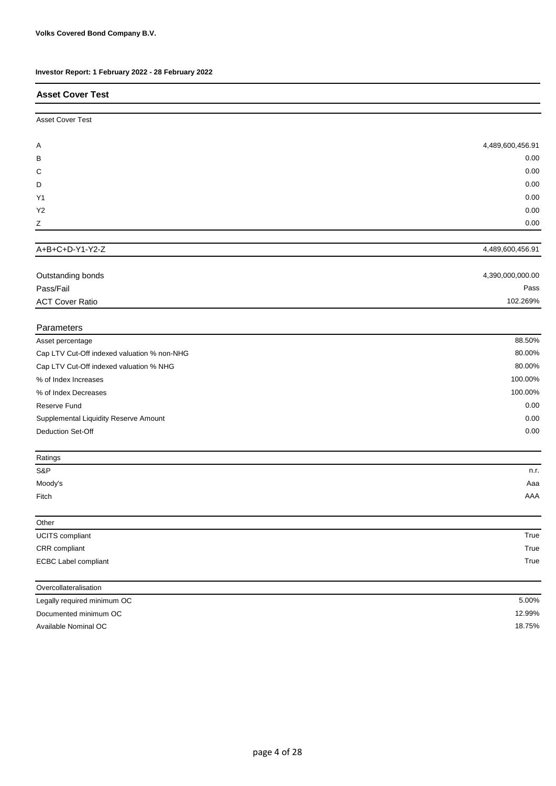| Investor Report: 1 February 2022 - 28 February 2022 |                  |
|-----------------------------------------------------|------------------|
| <b>Asset Cover Test</b>                             |                  |
| <b>Asset Cover Test</b>                             |                  |
| Α                                                   | 4,489,600,456.91 |
| в                                                   | 0.00             |
| С                                                   | 0.00             |
| D                                                   | 0.00             |
| Y1                                                  | 0.00             |
| Y2                                                  | 0.00             |
| Ζ                                                   | 0.00             |
| A+B+C+D-Y1-Y2-Z                                     | 4,489,600,456.91 |
|                                                     |                  |
| Outstanding bonds                                   | 4,390,000,000.00 |
| Pass/Fail                                           | Pass             |
| <b>ACT Cover Ratio</b>                              | 102.269%         |
| Parameters                                          |                  |
| Asset percentage                                    | 88.50%           |
| Cap LTV Cut-Off indexed valuation % non-NHG         | 80.00%           |
| Cap LTV Cut-Off indexed valuation % NHG             | 80.00%           |
| % of Index Increases                                | 100.00%          |
| % of Index Decreases                                | 100.00%          |
| Reserve Fund                                        | 0.00             |
| Supplemental Liquidity Reserve Amount               | 0.00             |
| Deduction Set-Off                                   | 0.00             |
| Ratings                                             |                  |
| S&P                                                 | n.r.             |
| Moody's                                             | Aaa              |
| Fitch                                               | AAA              |
| Other                                               |                  |
| UCITS compliant                                     | True             |
| CRR compliant                                       | True             |
| <b>ECBC Label compliant</b>                         | True             |
| Overcollateralisation                               |                  |
| Legally required minimum OC                         | 5.00%            |
| Documented minimum OC                               | 12.99%           |

Available Nominal OC

18.75%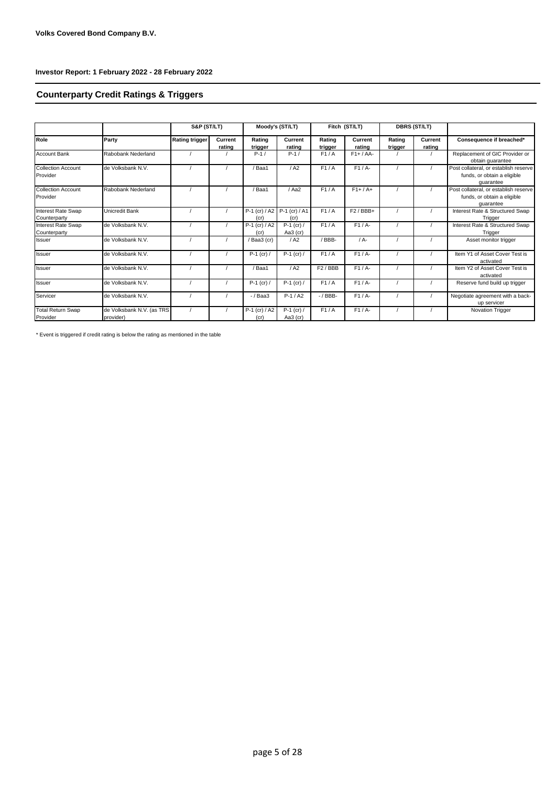# **Counterparty Credit Ratings & Triggers**

|                                           |                                        | S&P (ST/LT)           |                   |                                     | Moody's (ST/LT)             |                   | Fitch (ST/LT)     |                   | <b>DBRS (ST/LT)</b> |                                                                                   |
|-------------------------------------------|----------------------------------------|-----------------------|-------------------|-------------------------------------|-----------------------------|-------------------|-------------------|-------------------|---------------------|-----------------------------------------------------------------------------------|
| Role                                      | Party                                  | <b>Rating trigger</b> | Current<br>rating | Rating<br>trigger                   | Current<br>rating           | Rating<br>trigger | Current<br>rating | Rating<br>trigger | Current<br>rating   | Consequence if breached*                                                          |
| <b>Account Bank</b>                       | Rabobank Nederland                     |                       |                   | $P-1/$                              | $P-1/$                      | F1/A              | $F1+ / AA-$       |                   |                     | Replacement of GIC Provider or<br>obtain quarantee                                |
| <b>Collection Account</b><br>Provider     | de Volksbank N.V.                      |                       |                   | Baa1                                | / A2                        | F1/A              | $F1/A-$           |                   |                     | Post collateral, or establish reserve<br>funds, or obtain a eligible<br>quarantee |
| <b>Collection Account</b><br>Provider     | Rabobank Nederland                     |                       |                   | Baa1                                | / Aa2                       | F1/A              | $F1+ / A+$        |                   |                     | Post collateral, or establish reserve<br>funds, or obtain a eligible<br>quarantee |
| <b>Interest Rate Swap</b><br>Counterparty | Unicredit Bank                         |                       |                   | P-1 (cr) / A2 P-1 (cr) / A1<br>(cr) | (cr)                        | F1/A              | $F2/BBB+$         |                   |                     | Interest Rate & Structured Swap<br>Trigger                                        |
| <b>Interest Rate Swap</b><br>Counterparty | de Volksbank N.V.                      |                       |                   | $P-1$ (cr) / A2<br>(cr)             | $P-1$ (cr) /<br>Aa3 (cr)    | F1/A              | $F1/A-$           |                   |                     | Interest Rate & Structured Swap<br>Trigger                                        |
| <b>Issuer</b>                             | de Volksbank N.V.                      |                       |                   | /Baa3 (cr)                          | / A2                        | /BBB-             | $/A -$            |                   |                     | Asset monitor trigger                                                             |
| <b>Issuer</b>                             | de Volksbank N.V.                      |                       |                   | $P-1$ (cr) /                        | $P-1$ (cr) /                | F1/A              | $F1/A-$           |                   |                     | Item Y1 of Asset Cover Test is<br>activated                                       |
| <b>Issuer</b>                             | de Volksbank N.V.                      |                       |                   | Baa1                                | / A2                        | $F2$ / BBB        | $F1/A-$           |                   |                     | Item Y2 of Asset Cover Test is<br>activated                                       |
| <b>Issuer</b>                             | de Volksbank N.V.                      |                       |                   | $P-1$ (cr) /                        | $P-1$ (cr) /                | F1/A              | F1/A              |                   |                     | Reserve fund build up trigger                                                     |
| Servicer                                  | de Volksbank N.V.                      |                       |                   | $-$ / Baa3                          | $P-1/A2$                    | $-$ / BBB $-$     | $F1/A-$           |                   |                     | Negotiate agreement with a back-<br>up servicer                                   |
| <b>Total Return Swap</b><br>Provider      | de Volksbank N.V. (as TRS<br>provider) |                       |                   | $P-1$ (cr) / A2<br>(cr)             | $P-1$ (cr) /<br>Aa $3$ (cr) | F1/A              | $F1/A-$           |                   |                     | <b>Novation Trigger</b>                                                           |

\* Event is triggered if credit rating is below the rating as mentioned in the table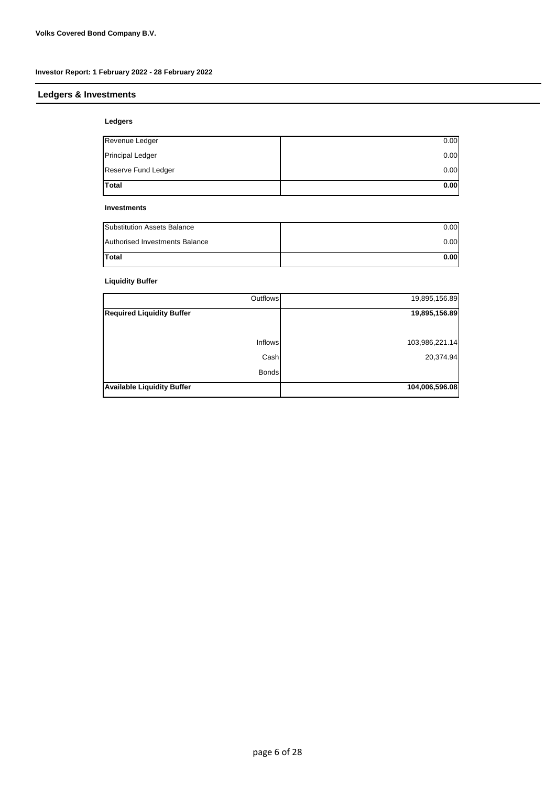# **Ledgers & Investments**

# **Ledgers**

| <b>Total</b>        | 0.00 |
|---------------------|------|
| Reserve Fund Ledger | 0.00 |
| Principal Ledger    | 0.00 |
| Revenue Ledger      | 0.00 |
|                     |      |

#### **Investments**

| <b>Substitution Assets Balance</b> | 0.00 |
|------------------------------------|------|
| Authorised Investments Balance     | 0.00 |
| Total                              | 0.00 |

# **Liquidity Buffer**

| Outflows                          | 19,895,156.89  |
|-----------------------------------|----------------|
| <b>Required Liquidity Buffer</b>  | 19,895,156.89  |
|                                   |                |
| Inflows                           | 103,986,221.14 |
| Cash                              | 20,374.94      |
| <b>Bonds</b>                      |                |
| <b>Available Liquidity Buffer</b> | 104,006,596.08 |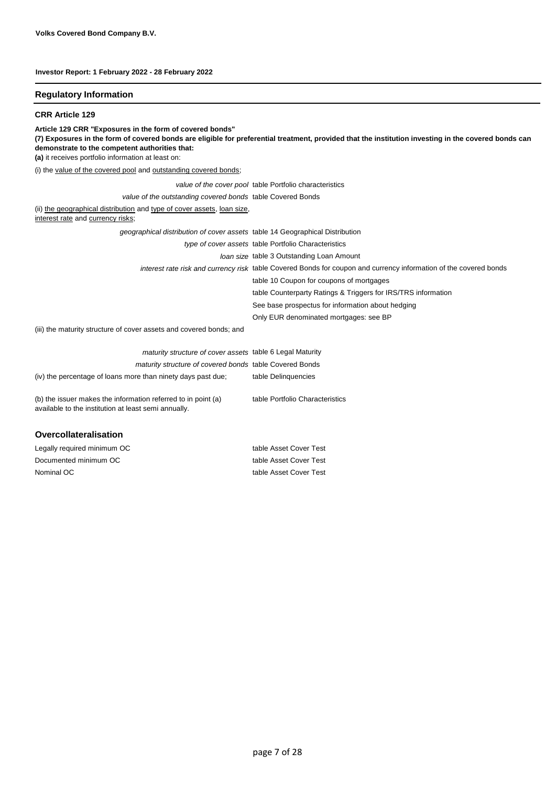#### **Regulatory Information**

#### **CRR Article 129**

**Article 129 CRR "Exposures in the form of covered bonds"**

**(7) Exposures in the form of covered bonds are eligible for preferential treatment, provided that the institution investing in the covered bonds can demonstrate to the competent authorities that:**

**(a)** it receives portfolio information at least on:

(i) the value of the covered pool and outstanding covered bonds;

|                                                                                                              | value of the cover pool table Portfolio characteristics                                                           |
|--------------------------------------------------------------------------------------------------------------|-------------------------------------------------------------------------------------------------------------------|
| value of the outstanding covered bonds table Covered Bonds                                                   |                                                                                                                   |
| (ii) the geographical distribution and type of cover assets, loan size,<br>interest rate and currency risks; |                                                                                                                   |
| geographical distribution of cover assets table 14 Geographical Distribution                                 |                                                                                                                   |
|                                                                                                              | type of cover assets table Portfolio Characteristics                                                              |
|                                                                                                              | Joan size table 3 Outstanding Loan Amount                                                                         |
|                                                                                                              | interest rate risk and currency risk table Covered Bonds for coupon and currency information of the covered bonds |
|                                                                                                              | table 10 Coupon for coupons of mortgages                                                                          |
|                                                                                                              | table Counterparty Ratings & Triggers for IRS/TRS information                                                     |
|                                                                                                              | See base prospectus for information about hedging                                                                 |
|                                                                                                              | Only EUR denominated mortgages: see BP                                                                            |
| (iii) the maturity structure of cover assets and covered bonds; and                                          |                                                                                                                   |

| maturity structure of cover assets table 6 Legal Maturity     |                                 |
|---------------------------------------------------------------|---------------------------------|
| maturity structure of covered bonds table Covered Bonds       |                                 |
| (iv) the percentage of loans more than ninety days past due;  | table Delinguencies             |
|                                                               |                                 |
| (b) the issuer makes the information referred to in point (a) | table Portfolio Characteristics |
| available to the institution at least semi annually.          |                                 |

#### **Overcollateralisation**

| table Asset Cover Test |
|------------------------|
| table Asset Cover Test |
| table Asset Cover Test |
|                        |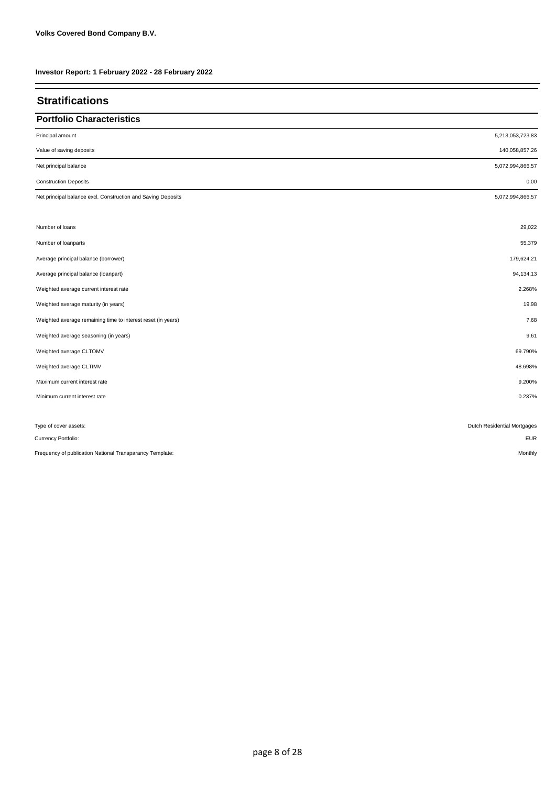| <b>Stratifications</b>                                       |                             |
|--------------------------------------------------------------|-----------------------------|
| <b>Portfolio Characteristics</b>                             |                             |
| Principal amount                                             | 5,213,053,723.83            |
| Value of saving deposits                                     | 140,058,857.26              |
| Net principal balance                                        | 5,072,994,866.57            |
| <b>Construction Deposits</b>                                 | 0.00                        |
| Net principal balance excl. Construction and Saving Deposits | 5,072,994,866.57            |
| Number of loans                                              | 29,022                      |
| Number of loanparts                                          | 55,379                      |
| Average principal balance (borrower)                         | 179,624.21                  |
| Average principal balance (loanpart)                         | 94,134.13                   |
| Weighted average current interest rate                       | 2.268%                      |
| Weighted average maturity (in years)                         | 19.98                       |
| Weighted average remaining time to interest reset (in years) | 7.68                        |
| Weighted average seasoning (in years)                        | 9.61                        |
| Weighted average CLTOMV                                      | 69.790%                     |
| Weighted average CLTIMV                                      | 48.698%                     |
| Maximum current interest rate                                | 9.200%                      |
| Minimum current interest rate                                | 0.237%                      |
| Type of cover assets:                                        | Dutch Residential Mortgages |
| Currency Portfolio:                                          | EUR                         |
| Frequency of publication National Transparancy Template:     | Monthly                     |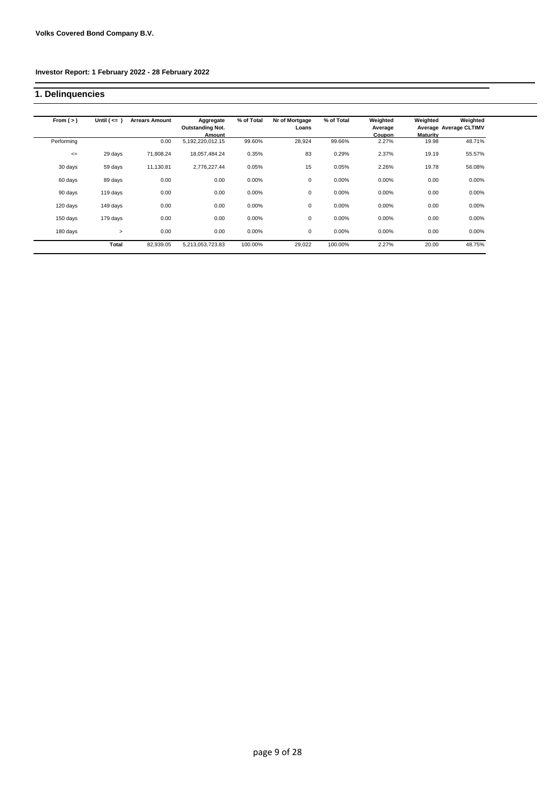# **1. Delinquencies**

| From $(>)$ | Until $(<= )$ | <b>Arrears Amount</b> | Aggregate<br><b>Outstanding Not.</b><br>Amount | % of Total | Nr of Mortgage<br>Loans | % of Total | Weighted<br>Average<br>Coupon | Weighted<br><b>Maturity</b> | Weighted<br>Average Average CLTIMV |
|------------|---------------|-----------------------|------------------------------------------------|------------|-------------------------|------------|-------------------------------|-----------------------------|------------------------------------|
| Performing |               | 0.00                  | 5,192,220,012.15                               | 99.60%     | 28,924                  | 99.66%     | 2.27%                         | 19.98                       | 48.71%                             |
| $\leq$     | 29 days       | 71,808.24             | 18,057,484.24                                  | 0.35%      | 83                      | 0.29%      | 2.37%                         | 19.19                       | 55.57%                             |
| 30 days    | 59 days       | 11,130.81             | 2,776,227.44                                   | 0.05%      | 15                      | 0.05%      | 2.26%                         | 19.78                       | 56.08%                             |
| 60 days    | 89 days       | 0.00                  | 0.00                                           | 0.00%      | 0                       | 0.00%      | 0.00%                         | 0.00                        | 0.00%                              |
| 90 days    | 119 days      | 0.00                  | 0.00                                           | 0.00%      | 0                       | 0.00%      | 0.00%                         | 0.00                        | 0.00%                              |
| 120 days   | 149 days      | 0.00                  | 0.00                                           | 0.00%      | 0                       | 0.00%      | 0.00%                         | 0.00                        | 0.00%                              |
| 150 days   | 179 days      | 0.00                  | 0.00                                           | 0.00%      | 0                       | 0.00%      | 0.00%                         | 0.00                        | 0.00%                              |
| 180 days   | $\geq$        | 0.00                  | 0.00                                           | 0.00%      | 0                       | 0.00%      | 0.00%                         | 0.00                        | 0.00%                              |
|            | Total         | 82,939.05             | 5,213,053,723.83                               | 100.00%    | 29,022                  | 100.00%    | 2.27%                         | 20.00                       | 48.75%                             |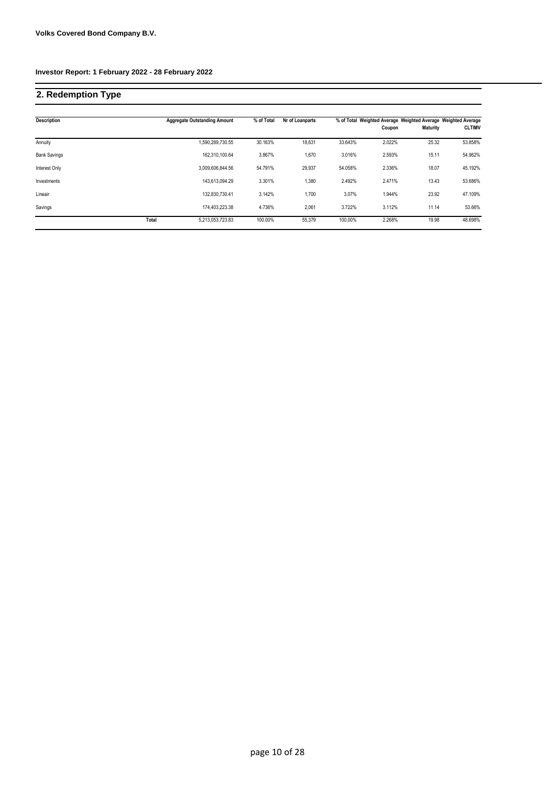# **2. Redemption Type**

| <b>Description</b>  |       | <b>Aggregate Outstanding Amount</b> | % of Total | Nr of Loanparts |         | Coupon | % of Total Weighted Average Weighted Average Weighted Average<br><b>Maturity</b> | <b>CLTIMV</b> |
|---------------------|-------|-------------------------------------|------------|-----------------|---------|--------|----------------------------------------------------------------------------------|---------------|
| Annuity             |       | 1,590,289,730.55                    | 30.163%    | 18.631          | 33.643% | 2.022% | 25.32                                                                            | 53.858%       |
| <b>Bank Savings</b> |       | 162,310,100.64                      | 3.867%     | 1,670           | 3.016%  | 2.593% | 15.11                                                                            | 54.962%       |
| Interest Only       |       | 3.009.606.844.56                    | 54.791%    | 29.937          | 54.058% | 2.336% | 18.07                                                                            | 45.192%       |
| Investments         |       | 143,613,094.29                      | 3.301%     | 1,380           | 2.492%  | 2.471% | 13.43                                                                            | 53.686%       |
| Lineair             |       | 132.830.730.41                      | 3.142%     | 1,700           | 3.07%   | 1.944% | 23.92                                                                            | 47.109%       |
| Savings             |       | 174,403,223.38                      | 4.736%     | 2,061           | 3.722%  | 3.112% | 11.14                                                                            | 53.66%        |
|                     | Total | 5,213,053,723.83                    | 100.00%    | 55.379          | 100.00% | 2.268% | 19.98                                                                            | 48.698%       |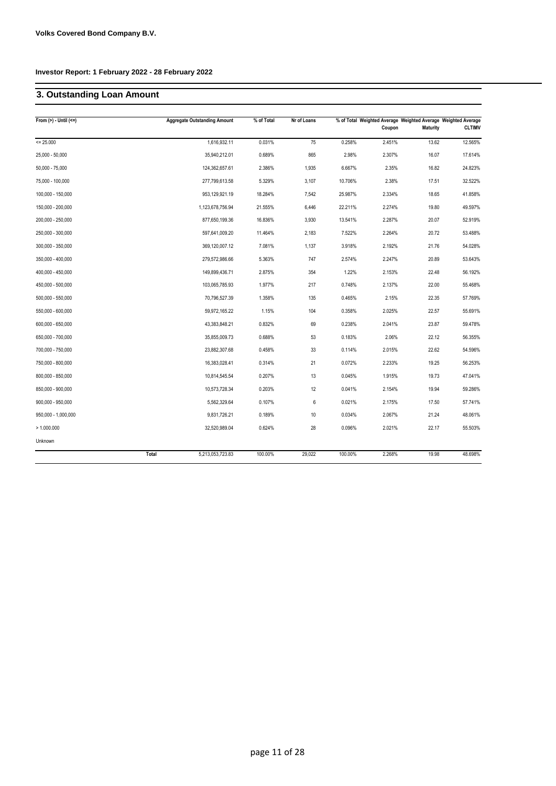# **3. Outstanding Loan Amount**

| From $(>)$ - Until $(<=)$ | <b>Aggregate Outstanding Amount</b> | % of Total | Nr of Loans |         | Coupon | % of Total Weighted Average Weighted Average Weighted Average<br><b>Maturity</b> | <b>CLTIMV</b> |
|---------------------------|-------------------------------------|------------|-------------|---------|--------|----------------------------------------------------------------------------------|---------------|
| $= 25.000$                | 1,616,932.11                        | 0.031%     | 75          | 0.258%  | 2.451% | 13.62                                                                            | 12.565%       |
| 25,000 - 50,000           | 35,940,212.01                       | 0.689%     | 865         | 2.98%   | 2.307% | 16.07                                                                            | 17.614%       |
| $50,000 - 75,000$         | 124,362,657.61                      | 2.386%     | 1,935       | 6.667%  | 2.35%  | 16.82                                                                            | 24.823%       |
| 75,000 - 100,000          | 277,799,613.58                      | 5.329%     | 3,107       | 10.706% | 2.38%  | 17.51                                                                            | 32.522%       |
| 100,000 - 150,000         | 953,129,921.19                      | 18.284%    | 7,542       | 25.987% | 2.334% | 18.65                                                                            | 41.858%       |
| 150,000 - 200,000         | 1,123,678,756.94                    | 21.555%    | 6,446       | 22.211% | 2.274% | 19.80                                                                            | 49.597%       |
| 200,000 - 250,000         | 877,650,199.36                      | 16.836%    | 3,930       | 13.541% | 2.287% | 20.07                                                                            | 52.919%       |
| 250,000 - 300,000         | 597,641,009.20                      | 11.464%    | 2,183       | 7.522%  | 2.264% | 20.72                                                                            | 53.488%       |
| 300,000 - 350,000         | 369,120,007.12                      | 7.081%     | 1,137       | 3.918%  | 2.192% | 21.76                                                                            | 54.028%       |
| 350,000 - 400,000         | 279,572,986.66                      | 5.363%     | 747         | 2.574%  | 2.247% | 20.89                                                                            | 53.643%       |
| 400,000 - 450,000         | 149,899,436.71                      | 2.875%     | 354         | 1.22%   | 2.153% | 22.48                                                                            | 56.192%       |
| 450,000 - 500,000         | 103,065,785.93                      | 1.977%     | 217         | 0.748%  | 2.137% | 22.00                                                                            | 55.468%       |
| 500,000 - 550,000         | 70,796,527.39                       | 1.358%     | 135         | 0.465%  | 2.15%  | 22.35                                                                            | 57.769%       |
| 550,000 - 600,000         | 59,972,165.22                       | 1.15%      | 104         | 0.358%  | 2.025% | 22.57                                                                            | 55.691%       |
| 600,000 - 650,000         | 43,383,848.21                       | 0.832%     | 69          | 0.238%  | 2.041% | 23.87                                                                            | 59.478%       |
| 650,000 - 700,000         | 35,855,009.73                       | 0.688%     | 53          | 0.183%  | 2.06%  | 22.12                                                                            | 56.355%       |
| 700,000 - 750,000         | 23,882,307.68                       | 0.458%     | 33          | 0.114%  | 2.015% | 22.62                                                                            | 54.596%       |
| 750,000 - 800,000         | 16,383,028.41                       | 0.314%     | 21          | 0.072%  | 2.233% | 19.25                                                                            | 56.253%       |
| 800,000 - 850,000         | 10,814,545.54                       | 0.207%     | 13          | 0.045%  | 1.915% | 19.73                                                                            | 47.041%       |
| 850,000 - 900,000         | 10,573,728.34                       | 0.203%     | 12          | 0.041%  | 2.154% | 19.94                                                                            | 59.286%       |
| $900,000 - 950,000$       | 5,562,329.64                        | 0.107%     | 6           | 0.021%  | 2.175% | 17.50                                                                            | 57.741%       |
| 950,000 - 1,000,000       | 9,831,726.21                        | 0.189%     | 10          | 0.034%  | 2.067% | 21.24                                                                            | 48.061%       |
| > 1.000.000               | 32,520,989.04                       | 0.624%     | 28          | 0.096%  | 2.021% | 22.17                                                                            | 55.503%       |
| Unknown                   |                                     |            |             |         |        |                                                                                  |               |
|                           | Total<br>5,213,053,723.83           | 100.00%    | 29,022      | 100.00% | 2.268% | 19.98                                                                            | 48.698%       |
|                           |                                     |            |             |         |        |                                                                                  |               |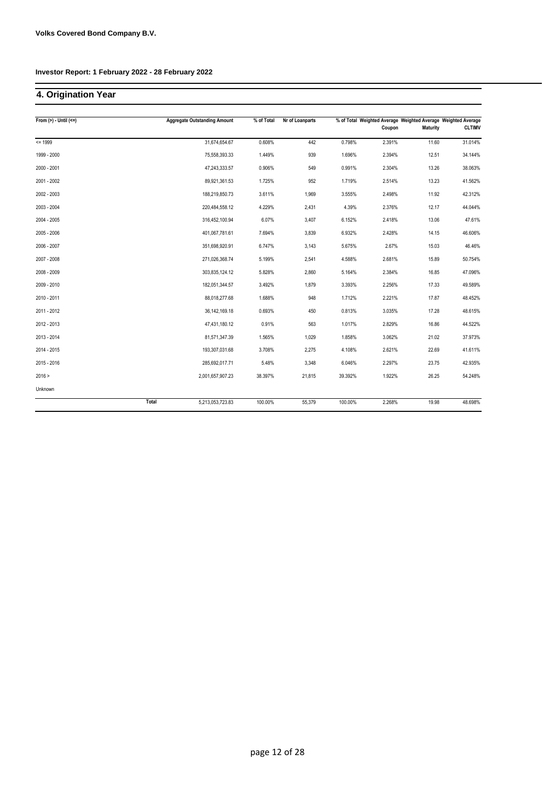# **4. Origination Year**

| From $(>)$ - Until $(<=)$ |       | <b>Aggregate Outstanding Amount</b> | % of Total | Nr of Loanparts |         | Coupon | <b>Maturity</b> | % of Total Weighted Average Weighted Average Weighted Average<br><b>CLTIMV</b> |
|---------------------------|-------|-------------------------------------|------------|-----------------|---------|--------|-----------------|--------------------------------------------------------------------------------|
| $= 1999$                  |       | 31,674,654.67                       | 0.608%     | 442             | 0.798%  | 2.391% | 11.60           | 31.014%                                                                        |
| 1999 - 2000               |       | 75,558,393.33                       | 1.449%     | 939             | 1.696%  | 2.394% | 12.51           | 34.144%                                                                        |
| 2000 - 2001               |       | 47,243,333.57                       | 0.906%     | 549             | 0.991%  | 2.304% | 13.26           | 38.063%                                                                        |
| 2001 - 2002               |       | 89,921,361.53                       | 1.725%     | 952             | 1.719%  | 2.514% | 13.23           | 41.562%                                                                        |
| 2002 - 2003               |       | 188,219,850.73                      | 3.611%     | 1,969           | 3.555%  | 2.498% | 11.92           | 42.312%                                                                        |
| 2003 - 2004               |       | 220,484,558.12                      | 4.229%     | 2,431           | 4.39%   | 2.376% | 12.17           | 44.044%                                                                        |
| 2004 - 2005               |       | 316,452,100.94                      | 6.07%      | 3,407           | 6.152%  | 2.418% | 13.06           | 47.61%                                                                         |
| 2005 - 2006               |       | 401,067,781.61                      | 7.694%     | 3,839           | 6.932%  | 2.428% | 14.15           | 46.606%                                                                        |
| 2006 - 2007               |       | 351,698,920.91                      | 6.747%     | 3,143           | 5.675%  | 2.67%  | 15.03           | 46.46%                                                                         |
| 2007 - 2008               |       | 271,026,368.74                      | 5.199%     | 2,541           | 4.588%  | 2.681% | 15.89           | 50.754%                                                                        |
| 2008 - 2009               |       | 303,835,124.12                      | 5.828%     | 2,860           | 5.164%  | 2.384% | 16.85           | 47.096%                                                                        |
| 2009 - 2010               |       | 182,051,344.57                      | 3.492%     | 1,879           | 3.393%  | 2.256% | 17.33           | 49.589%                                                                        |
| 2010 - 2011               |       | 88,018,277.68                       | 1.688%     | 948             | 1.712%  | 2.221% | 17.87           | 48.452%                                                                        |
| 2011 - 2012               |       | 36, 142, 169. 18                    | 0.693%     | 450             | 0.813%  | 3.035% | 17.28           | 48.615%                                                                        |
| 2012 - 2013               |       | 47,431,180.12                       | 0.91%      | 563             | 1.017%  | 2.829% | 16.86           | 44.522%                                                                        |
| 2013 - 2014               |       | 81,571,347.39                       | 1.565%     | 1,029           | 1.858%  | 3.062% | 21.02           | 37.973%                                                                        |
| 2014 - 2015               |       | 193,307,031.68                      | 3.708%     | 2,275           | 4.108%  | 2.621% | 22.69           | 41.611%                                                                        |
| 2015 - 2016               |       | 285,692,017.71                      | 5.48%      | 3,348           | 6.046%  | 2.297% | 23.75           | 42.935%                                                                        |
| 2016 >                    |       | 2,001,657,907.23                    | 38.397%    | 21,815          | 39.392% | 1.922% | 26.25           | 54.248%                                                                        |
| Unknown                   |       |                                     |            |                 |         |        |                 |                                                                                |
|                           | Total | 5,213,053,723.83                    | 100.00%    | 55,379          | 100.00% | 2.268% | 19.98           | 48.698%                                                                        |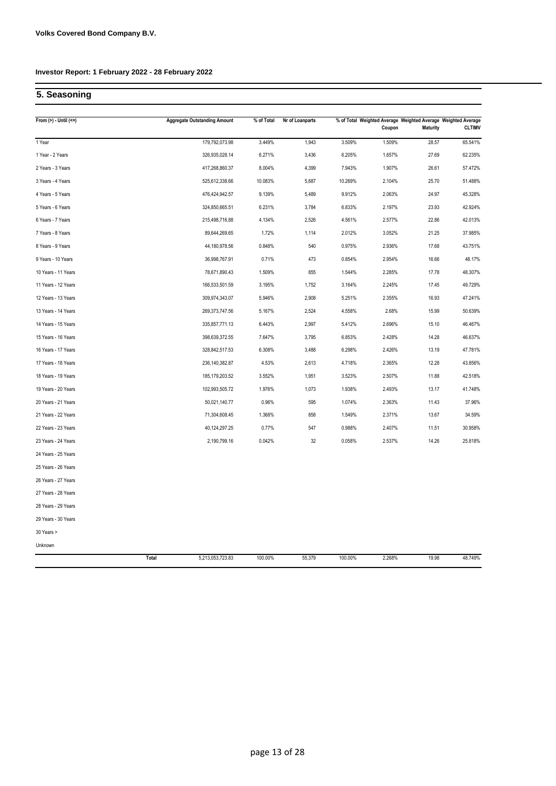# **5. Seasoning**

| From $(>) -$ Until $(<=)$ | <b>Aggregate Outstanding Amount</b> | % of Total | Nr of Loanparts |         | % of Total Weighted Average Weighted Average Weighted Average<br>Coupon | <b>Maturity</b> | <b>CLTIMV</b> |
|---------------------------|-------------------------------------|------------|-----------------|---------|-------------------------------------------------------------------------|-----------------|---------------|
| 1 Year                    | 179,792,073.98                      | 3.449%     | 1,943           | 3.509%  | 1.509%                                                                  | 28.57           | 65.541%       |
| 1 Year - 2 Years          | 326,935,028.14                      | 6.271%     | 3,436           | 6.205%  | 1.657%                                                                  | 27.69           | 62.235%       |
| 2 Years - 3 Years         | 417,268,860.37                      | 8.004%     | 4,399           | 7.943%  | 1.907%                                                                  | 26.61           | 57.472%       |
| 3 Years - 4 Years         | 525,612,338.66                      | 10.083%    | 5,687           | 10.269% | 2.104%                                                                  | 25.70           | 51.488%       |
| 4 Years - 5 Years         | 476,424,942.57                      | 9.139%     | 5,489           | 9.912%  | 2.063%                                                                  | 24.97           | 45.328%       |
| 5 Years - 6 Years         | 324,850,665.51                      | 6.231%     | 3,784           | 6.833%  | 2.197%                                                                  | 23.93           | 42.924%       |
| 6 Years - 7 Years         | 215,498,716.88                      | 4.134%     | 2,526           | 4.561%  | 2.577%                                                                  | 22.86           | 42.013%       |
| 7 Years - 8 Years         | 89,644,269.65                       | 1.72%      | 1,114           | 2.012%  | 3.052%                                                                  | 21.25           | 37.985%       |
| 8 Years - 9 Years         | 44,180,978.56                       | 0.848%     | 540             | 0.975%  | 2.936%                                                                  | 17.68           | 43.751%       |
| 9 Years - 10 Years        | 36,998,767.91                       | 0.71%      | 473             | 0.854%  | 2.954%                                                                  | 16.66           | 48.17%        |
| 10 Years - 11 Years       | 78,671,890.43                       | 1.509%     | 855             | 1.544%  | 2.285%                                                                  | 17.78           | 48.307%       |
| 11 Years - 12 Years       | 166,533,501.59                      | 3.195%     | 1,752           | 3.164%  | 2.245%                                                                  | 17.45           | 49.729%       |
| 12 Years - 13 Years       | 309,974,343.07                      | 5.946%     | 2,908           | 5.251%  | 2.355%                                                                  | 16.93           | 47.241%       |
| 13 Years - 14 Years       | 269, 373, 747.56                    | 5.167%     | 2,524           | 4.558%  | 2.68%                                                                   | 15.99           | 50.639%       |
| 14 Years - 15 Years       | 335,857,771.13                      | 6.443%     | 2,997           | 5.412%  | 2.696%                                                                  | 15.10           | 46.467%       |
| 15 Years - 16 Years       | 398,639,372.55                      | 7.647%     | 3,795           | 6.853%  | 2.428%                                                                  | 14.28           | 46.637%       |
| 16 Years - 17 Years       | 328,842,517.53                      | 6.308%     | 3,488           | 6.298%  | 2.426%                                                                  | 13.19           | 47.781%       |
| 17 Years - 18 Years       | 236, 140, 382.87                    | 4.53%      | 2,613           | 4.718%  | 2.365%                                                                  | 12.28           | 43.856%       |
| 18 Years - 19 Years       | 185, 179, 203.52                    | 3.552%     | 1,951           | 3.523%  | 2.507%                                                                  | 11.88           | 42.518%       |
| 19 Years - 20 Years       | 102,993,505.72                      | 1.976%     | 1,073           | 1.938%  | 2.493%                                                                  | 13.17           | 41.748%       |
| 20 Years - 21 Years       | 50,021,140.77                       | 0.96%      | 595             | 1.074%  | 2.363%                                                                  | 11.43           | 37.96%        |
| 21 Years - 22 Years       | 71,304,608.45                       | 1.368%     | 858             | 1.549%  | 2.371%                                                                  | 13.67           | 34.59%        |
| 22 Years - 23 Years       | 40,124,297.25                       | 0.77%      | 547             | 0.988%  | 2.407%                                                                  | 11.51           | 30.958%       |
| 23 Years - 24 Years       | 2,190,799.16                        | 0.042%     | 32              | 0.058%  | 2.537%                                                                  | 14.26           | 25.818%       |
| 24 Years - 25 Years       |                                     |            |                 |         |                                                                         |                 |               |
| 25 Years - 26 Years       |                                     |            |                 |         |                                                                         |                 |               |
| 26 Years - 27 Years       |                                     |            |                 |         |                                                                         |                 |               |
| 27 Years - 28 Years       |                                     |            |                 |         |                                                                         |                 |               |
| 28 Years - 29 Years       |                                     |            |                 |         |                                                                         |                 |               |
| 29 Years - 30 Years       |                                     |            |                 |         |                                                                         |                 |               |
| 30 Years >                |                                     |            |                 |         |                                                                         |                 |               |
| Unknown                   |                                     |            |                 |         |                                                                         |                 |               |
|                           | Total<br>5,213,053,723.83           | 100.00%    | 55,379          | 100.00% | 2.268%                                                                  | 19.98           | 48.749%       |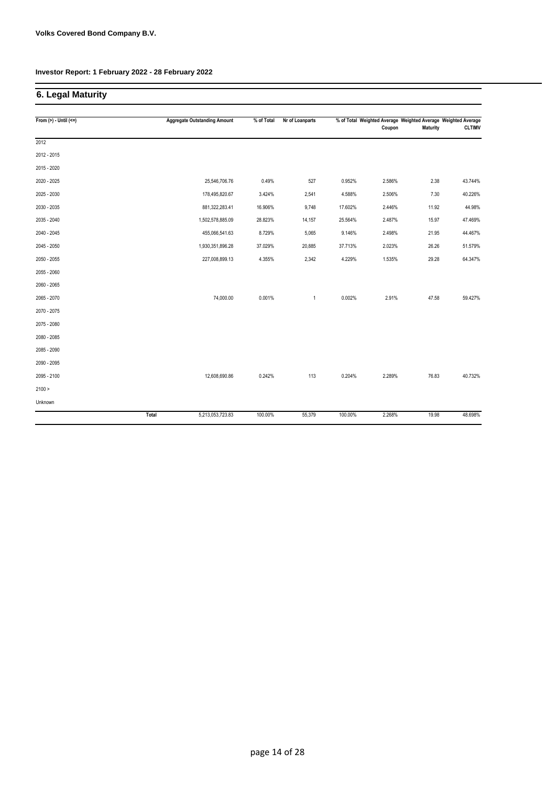# **6. Legal Maturity**

| From $(>)$ - Until $(<=)$ |       | <b>Aggregate Outstanding Amount</b> | % of Total | Nr of Loanparts |         | % of Total Weighted Average Weighted Average Weighted Average |                 |               |
|---------------------------|-------|-------------------------------------|------------|-----------------|---------|---------------------------------------------------------------|-----------------|---------------|
|                           |       |                                     |            |                 |         | Coupon                                                        | <b>Maturity</b> | <b>CLTIMV</b> |
| 2012                      |       |                                     |            |                 |         |                                                               |                 |               |
| 2012 - 2015               |       |                                     |            |                 |         |                                                               |                 |               |
| 2015 - 2020               |       |                                     |            |                 |         |                                                               |                 |               |
| 2020 - 2025               |       | 25,546,706.76                       | 0.49%      | 527             | 0.952%  | 2.586%                                                        | 2.38            | 43.744%       |
| 2025 - 2030               |       | 178,495,820.67                      | 3.424%     | 2,541           | 4.588%  | 2.506%                                                        | 7.30            | 40.226%       |
| 2030 - 2035               |       | 881,322,283.41                      | 16.906%    | 9,748           | 17.602% | 2.446%                                                        | 11.92           | 44.98%        |
| 2035 - 2040               |       | 1,502,578,885.09                    | 28.823%    | 14,157          | 25.564% | 2.487%                                                        | 15.97           | 47.469%       |
| 2040 - 2045               |       | 455,066,541.63                      | 8.729%     | 5,065           | 9.146%  | 2.498%                                                        | 21.95           | 44.467%       |
| 2045 - 2050               |       | 1,930,351,896.28                    | 37.029%    | 20,885          | 37.713% | 2.023%                                                        | 26.26           | 51.579%       |
| 2050 - 2055               |       | 227,008,899.13                      | 4.355%     | 2,342           | 4.229%  | 1.535%                                                        | 29.28           | 64.347%       |
| 2055 - 2060               |       |                                     |            |                 |         |                                                               |                 |               |
| 2060 - 2065               |       |                                     |            |                 |         |                                                               |                 |               |
| 2065 - 2070               |       | 74,000.00                           | 0.001%     | $\mathbf{1}$    | 0.002%  | 2.91%                                                         | 47.58           | 59.427%       |
| 2070 - 2075               |       |                                     |            |                 |         |                                                               |                 |               |
| 2075 - 2080               |       |                                     |            |                 |         |                                                               |                 |               |
| 2080 - 2085               |       |                                     |            |                 |         |                                                               |                 |               |
| 2085 - 2090               |       |                                     |            |                 |         |                                                               |                 |               |
| 2090 - 2095               |       |                                     |            |                 |         |                                                               |                 |               |
| 2095 - 2100               |       | 12,608,690.86                       | 0.242%     | 113             | 0.204%  | 2.289%                                                        | 76.83           | 40.732%       |
| 2100 >                    |       |                                     |            |                 |         |                                                               |                 |               |
| Unknown                   |       |                                     |            |                 |         |                                                               |                 |               |
|                           | Total | 5,213,053,723.83                    | 100.00%    | 55,379          | 100.00% | 2.268%                                                        | 19.98           | 48.698%       |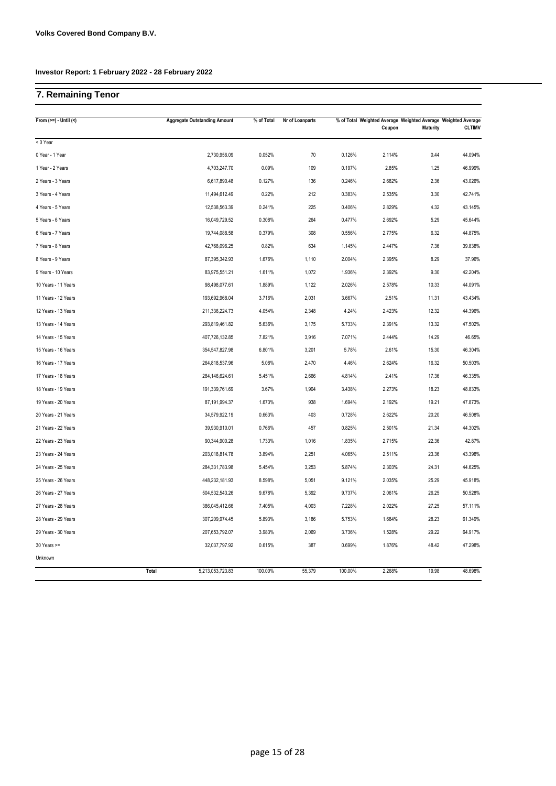# **7. Remaining Tenor**

| From $(>=) -$ Until $($ | <b>Aggregate Outstanding Amount</b> | % of Total | Nr of Loanparts |         | % of Total Weighted Average Weighted Average Weighted Average<br>Coupon | <b>Maturity</b> | <b>CLTIMV</b> |
|-------------------------|-------------------------------------|------------|-----------------|---------|-------------------------------------------------------------------------|-----------------|---------------|
| < 0 Year                |                                     |            |                 |         |                                                                         |                 |               |
| 0 Year - 1 Year         | 2,730,956.09                        | 0.052%     | 70              | 0.126%  | 2.114%                                                                  | 0.44            | 44.094%       |
| 1 Year - 2 Years        | 4,703,247.70                        | 0.09%      | 109             | 0.197%  | 2.85%                                                                   | 1.25            | 46.999%       |
| 2 Years - 3 Years       | 6,617,890.48                        | 0.127%     | 136             | 0.246%  | 2.682%                                                                  | 2.36            | 43.026%       |
| 3 Years - 4 Years       | 11,494,612.49                       | 0.22%      | 212             | 0.383%  | 2.535%                                                                  | 3.30            | 42.741%       |
| 4 Years - 5 Years       | 12,538,563.39                       | 0.241%     | 225             | 0.406%  | 2.829%                                                                  | 4.32            | 43.145%       |
| 5 Years - 6 Years       | 16,049,729.52                       | 0.308%     | 264             | 0.477%  | 2.692%                                                                  | 5.29            | 45.644%       |
| 6 Years - 7 Years       | 19,744,088.58                       | 0.379%     | 308             | 0.556%  | 2.775%                                                                  | 6.32            | 44.875%       |
| 7 Years - 8 Years       | 42,768,096.25                       | 0.82%      | 634             | 1.145%  | 2.447%                                                                  | 7.36            | 39.838%       |
| 8 Years - 9 Years       | 87,395,342.93                       | 1.676%     | 1,110           | 2.004%  | 2.395%                                                                  | 8.29            | 37.96%        |
| 9 Years - 10 Years      | 83,975,551.21                       | 1.611%     | 1,072           | 1.936%  | 2.392%                                                                  | 9.30            | 42.204%       |
| 10 Years - 11 Years     | 98,498,077.61                       | 1.889%     | 1,122           | 2.026%  | 2.578%                                                                  | 10.33           | 44.091%       |
| 11 Years - 12 Years     | 193,692,968.04                      | 3.716%     | 2,031           | 3.667%  | 2.51%                                                                   | 11.31           | 43.434%       |
| 12 Years - 13 Years     | 211,336,224.73                      | 4.054%     | 2,348           | 4.24%   | 2.423%                                                                  | 12.32           | 44.396%       |
| 13 Years - 14 Years     | 293,819,461.82                      | 5.636%     | 3,175           | 5.733%  | 2.391%                                                                  | 13.32           | 47.502%       |
| 14 Years - 15 Years     | 407,726,132.85                      | 7.821%     | 3,916           | 7.071%  | 2.444%                                                                  | 14.29           | 46.65%        |
| 15 Years - 16 Years     | 354,547,827.98                      | 6.801%     | 3,201           | 5.78%   | 2.61%                                                                   | 15.30           | 46.304%       |
| 16 Years - 17 Years     | 264,818,537.96                      | 5.08%      | 2,470           | 4.46%   | 2.624%                                                                  | 16.32           | 50.503%       |
| 17 Years - 18 Years     | 284, 146, 624. 61                   | 5.451%     | 2,666           | 4.814%  | 2.41%                                                                   | 17.36           | 46.335%       |
| 18 Years - 19 Years     | 191,339,761.69                      | 3.67%      | 1,904           | 3.438%  | 2.273%                                                                  | 18.23           | 48.833%       |
| 19 Years - 20 Years     | 87,191,994.37                       | 1.673%     | 938             | 1.694%  | 2.192%                                                                  | 19.21           | 47.873%       |
| 20 Years - 21 Years     | 34,579,922.19                       | 0.663%     | 403             | 0.728%  | 2.622%                                                                  | 20.20           | 46.508%       |
| 21 Years - 22 Years     | 39,930,910.01                       | 0.766%     | 457             | 0.825%  | 2.501%                                                                  | 21.34           | 44.302%       |
| 22 Years - 23 Years     | 90,344,900.28                       | 1.733%     | 1,016           | 1.835%  | 2.715%                                                                  | 22.36           | 42.87%        |
| 23 Years - 24 Years     | 203,018,814.78                      | 3.894%     | 2,251           | 4.065%  | 2.511%                                                                  | 23.36           | 43.398%       |
| 24 Years - 25 Years     | 284,331,783.98                      | 5.454%     | 3,253           | 5.874%  | 2.303%                                                                  | 24.31           | 44.625%       |
| 25 Years - 26 Years     | 448,232,181.93                      | 8.598%     | 5,051           | 9.121%  | 2.035%                                                                  | 25.29           | 45.918%       |
| 26 Years - 27 Years     | 504,532,543.26                      | 9.678%     | 5,392           | 9.737%  | 2.061%                                                                  | 26.25           | 50.528%       |
| 27 Years - 28 Years     | 386,045,412.66                      | 7.405%     | 4,003           | 7.228%  | 2.022%                                                                  | 27.25           | 57.111%       |
| 28 Years - 29 Years     | 307,209,974.45                      | 5.893%     | 3,186           | 5.753%  | 1.684%                                                                  | 28.23           | 61.349%       |
| 29 Years - 30 Years     | 207,653,792.07                      | 3.983%     | 2,069           | 3.736%  | 1.528%                                                                  | 29.22           | 64.917%       |
| 30 Years >=             | 32,037,797.92                       | 0.615%     | 387             | 0.699%  | 1.876%                                                                  | 48.42           | 47.298%       |
| Unknown                 |                                     |            |                 |         |                                                                         |                 |               |
|                         | Total<br>5,213,053,723.83           | 100.00%    | 55,379          | 100.00% | 2.268%                                                                  | 19.98           | 48.698%       |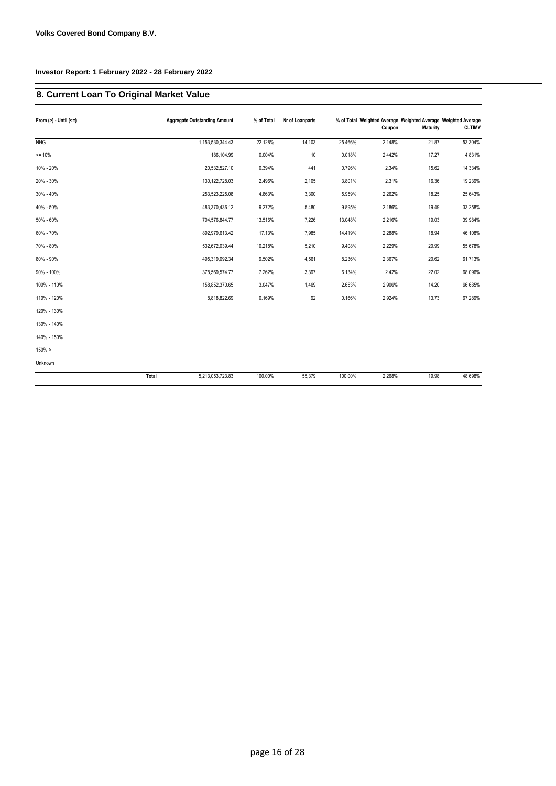# **8. Current Loan To Original Market Value**

| From $(>)$ - Until $(<=)$ |       | <b>Aggregate Outstanding Amount</b> | % of Total | Nr of Loanparts |         | Coupon | % of Total Weighted Average Weighted Average Weighted Average<br><b>Maturity</b> | <b>CLTIMV</b> |
|---------------------------|-------|-------------------------------------|------------|-----------------|---------|--------|----------------------------------------------------------------------------------|---------------|
| <b>NHG</b>                |       | 1,153,530,344.43                    | 22.128%    | 14,103          | 25.466% | 2.148% | 21.87                                                                            | 53.304%       |
| $= 10%$                   |       | 186,104.99                          | 0.004%     | 10              | 0.018%  | 2.442% | 17.27                                                                            | 4.831%        |
| 10% - 20%                 |       | 20,532,527.10                       | 0.394%     | 441             | 0.796%  | 2.34%  | 15.62                                                                            | 14.334%       |
| 20% - 30%                 |       | 130, 122, 728.03                    | 2.496%     | 2,105           | 3.801%  | 2.31%  | 16.36                                                                            | 19.239%       |
| $30\% - 40\%$             |       | 253,523,225.08                      | 4.863%     | 3,300           | 5.959%  | 2.262% | 18.25                                                                            | 25.643%       |
| 40% - 50%                 |       | 483,370,436.12                      | 9.272%     | 5,480           | 9.895%  | 2.186% | 19.49                                                                            | 33.258%       |
| 50% - 60%                 |       | 704,576,844.77                      | 13.516%    | 7,226           | 13.048% | 2.216% | 19.03                                                                            | 39.984%       |
| 60% - 70%                 |       | 892,979,613.42                      | 17.13%     | 7,985           | 14.419% | 2.288% | 18.94                                                                            | 46.108%       |
| 70% - 80%                 |       | 532,672,039.44                      | 10.218%    | 5,210           | 9.408%  | 2.229% | 20.99                                                                            | 55.678%       |
| 80% - 90%                 |       | 495,319,092.34                      | 9.502%     | 4,561           | 8.236%  | 2.367% | 20.62                                                                            | 61.713%       |
| 90% - 100%                |       | 378,569,574.77                      | 7.262%     | 3,397           | 6.134%  | 2.42%  | 22.02                                                                            | 68.096%       |
| 100% - 110%               |       | 158,852,370.65                      | 3.047%     | 1,469           | 2.653%  | 2.906% | 14.20                                                                            | 66.685%       |
| 110% - 120%               |       | 8,818,822.69                        | 0.169%     | 92              | 0.166%  | 2.924% | 13.73                                                                            | 67.289%       |
| 120% - 130%               |       |                                     |            |                 |         |        |                                                                                  |               |
| 130% - 140%               |       |                                     |            |                 |         |        |                                                                                  |               |
| 140% - 150%               |       |                                     |            |                 |         |        |                                                                                  |               |
| 150% >                    |       |                                     |            |                 |         |        |                                                                                  |               |
| Unknown                   |       |                                     |            |                 |         |        |                                                                                  |               |
|                           | Total | 5,213,053,723.83                    | 100.00%    | 55,379          | 100.00% | 2.268% | 19.98                                                                            | 48.698%       |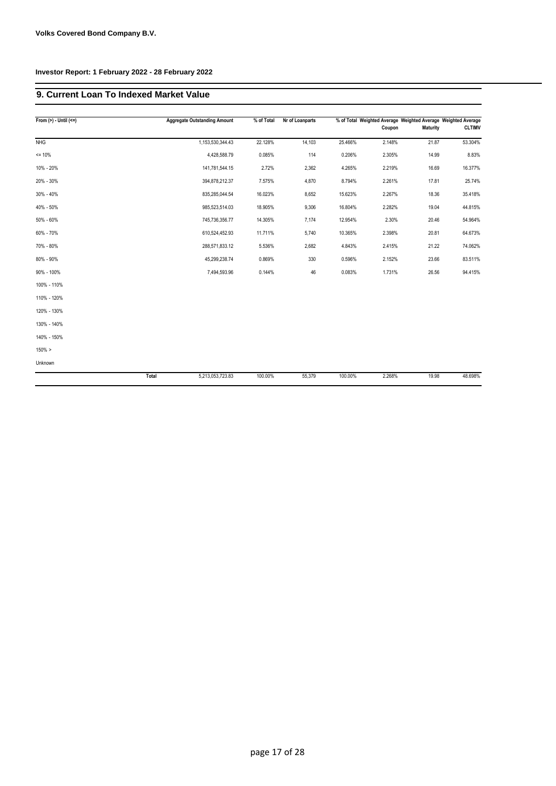#### **9. Current Loan To Indexed Market Value**

| From $(>)$ - Until $(<=)$ |       | <b>Aggregate Outstanding Amount</b> | % of Total | Nr of Loanparts |         |        |                 | % of Total Weighted Average Weighted Average Weighted Average |
|---------------------------|-------|-------------------------------------|------------|-----------------|---------|--------|-----------------|---------------------------------------------------------------|
|                           |       |                                     |            |                 |         | Coupon | <b>Maturity</b> | <b>CLTIMV</b>                                                 |
| <b>NHG</b>                |       | 1,153,530,344.43                    | 22.128%    | 14,103          | 25.466% | 2.148% | 21.87           | 53.304%                                                       |
| $= 10%$                   |       | 4,428,588.79                        | 0.085%     | 114             | 0.206%  | 2.305% | 14.99           | 8.83%                                                         |
| 10% - 20%                 |       | 141,781,544.15                      | 2.72%      | 2,362           | 4.265%  | 2.219% | 16.69           | 16.377%                                                       |
| 20% - 30%                 |       | 394,878,212.37                      | 7.575%     | 4,870           | 8.794%  | 2.261% | 17.81           | 25.74%                                                        |
| 30% - 40%                 |       | 835,285,044.54                      | 16.023%    | 8,652           | 15.623% | 2.267% | 18.36           | 35.418%                                                       |
| 40% - 50%                 |       | 985,523,514.03                      | 18.905%    | 9,306           | 16.804% | 2.282% | 19.04           | 44.815%                                                       |
| 50% - 60%                 |       | 745,736,356.77                      | 14.305%    | 7,174           | 12.954% | 2.30%  | 20.46           | 54.964%                                                       |
| 60% - 70%                 |       | 610,524,452.93                      | 11.711%    | 5,740           | 10.365% | 2.398% | 20.81           | 64.673%                                                       |
| 70% - 80%                 |       | 288,571,833.12                      | 5.536%     | 2,682           | 4.843%  | 2.415% | 21.22           | 74.062%                                                       |
| 80% - 90%                 |       | 45,299,238.74                       | 0.869%     | 330             | 0.596%  | 2.152% | 23.66           | 83.511%                                                       |
| 90% - 100%                |       | 7,494,593.96                        | 0.144%     | 46              | 0.083%  | 1.731% | 26.56           | 94.415%                                                       |
| 100% - 110%               |       |                                     |            |                 |         |        |                 |                                                               |
| 110% - 120%               |       |                                     |            |                 |         |        |                 |                                                               |
| 120% - 130%               |       |                                     |            |                 |         |        |                 |                                                               |
| 130% - 140%               |       |                                     |            |                 |         |        |                 |                                                               |
| 140% - 150%               |       |                                     |            |                 |         |        |                 |                                                               |
| $150\% >$                 |       |                                     |            |                 |         |        |                 |                                                               |
| Unknown                   |       |                                     |            |                 |         |        |                 |                                                               |
|                           | Total | 5,213,053,723.83                    | 100.00%    | 55,379          | 100.00% | 2.268% | 19.98           | 48.698%                                                       |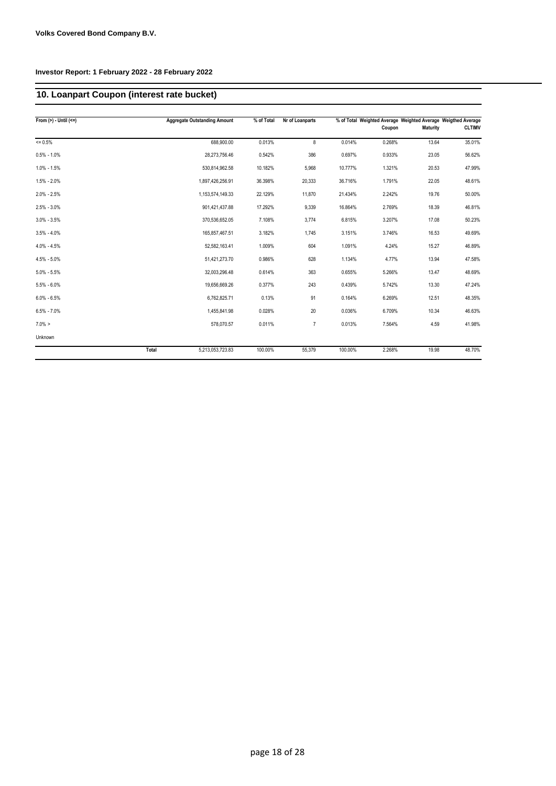# **10. Loanpart Coupon (interest rate bucket)**

| From $(>) -$ Until $(<=)$ |       | <b>Aggregate Outstanding Amount</b> | % of Total | Nr of Loanparts |         | % of Total Weighted Average Weighted Average Weigthed Average |                 |               |
|---------------------------|-------|-------------------------------------|------------|-----------------|---------|---------------------------------------------------------------|-----------------|---------------|
|                           |       |                                     |            |                 |         | Coupon                                                        | <b>Maturity</b> | <b>CLTIMV</b> |
| $= 0.5%$                  |       | 688,900.00                          | 0.013%     | 8               | 0.014%  | 0.268%                                                        | 13.64           | 35.01%        |
| $0.5\% - 1.0\%$           |       | 28,273,756.46                       | 0.542%     | 386             | 0.697%  | 0.933%                                                        | 23.05           | 56.62%        |
| $1.0\% - 1.5\%$           |       | 530,814,962.58                      | 10.182%    | 5,968           | 10.777% | 1.321%                                                        | 20.53           | 47.99%        |
| $1.5\% - 2.0\%$           |       | 1,897,426,256.91                    | 36.398%    | 20,333          | 36.716% | 1.791%                                                        | 22.05           | 48.61%        |
| $2.0\% - 2.5\%$           |       | 1,153,574,149.33                    | 22.129%    | 11,870          | 21.434% | 2.242%                                                        | 19.76           | 50.00%        |
| $2.5\% - 3.0\%$           |       | 901,421,437.88                      | 17.292%    | 9,339           | 16.864% | 2.769%                                                        | 18.39           | 46.81%        |
| $3.0\% - 3.5\%$           |       | 370,536,652.05                      | 7.108%     | 3,774           | 6.815%  | 3.207%                                                        | 17.08           | 50.23%        |
| $3.5\% - 4.0\%$           |       | 165,857,467.51                      | 3.182%     | 1,745           | 3.151%  | 3.746%                                                        | 16.53           | 49.69%        |
| $4.0\% - 4.5\%$           |       | 52,582,163.41                       | 1.009%     | 604             | 1.091%  | 4.24%                                                         | 15.27           | 46.89%        |
| $4.5\% - 5.0\%$           |       | 51,421,273.70                       | 0.986%     | 628             | 1.134%  | 4.77%                                                         | 13.94           | 47.58%        |
| $5.0\% - 5.5\%$           |       | 32,003,296.48                       | 0.614%     | 363             | 0.655%  | 5.266%                                                        | 13.47           | 48.69%        |
| $5.5\% - 6.0\%$           |       | 19,656,669.26                       | 0.377%     | 243             | 0.439%  | 5.742%                                                        | 13.30           | 47.24%        |
| $6.0\% - 6.5\%$           |       | 6,762,825.71                        | 0.13%      | 91              | 0.164%  | 6.269%                                                        | 12.51           | 48.35%        |
| $6.5\% - 7.0\%$           |       | 1,455,841.98                        | 0.028%     | 20              | 0.036%  | 6.709%                                                        | 10.34           | 46.63%        |
| $7.0\% >$                 |       | 578,070.57                          | 0.011%     | $\overline{7}$  | 0.013%  | 7.564%                                                        | 4.59            | 41.98%        |
| Unknown                   |       |                                     |            |                 |         |                                                               |                 |               |
|                           | Total | 5,213,053,723.83                    | 100.00%    | 55,379          | 100.00% | 2.268%                                                        | 19.98           | 48.70%        |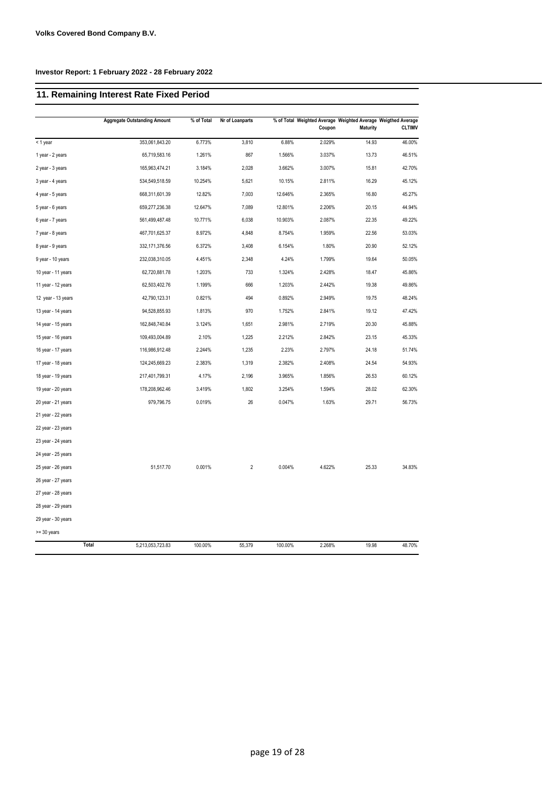# **11. Remaining Interest Rate Fixed Period**

|                    | <b>Aggregate Outstanding Amount</b> | % of Total | Nr of Loanparts |         | Coupon | <b>Maturity</b> | % of Total Weighted Average Weighted Average Weigthed Average<br><b>CLTIMV</b> |
|--------------------|-------------------------------------|------------|-----------------|---------|--------|-----------------|--------------------------------------------------------------------------------|
| < 1 year           | 353,061,843.20                      | 6.773%     | 3,810           | 6.88%   | 2.029% | 14.93           | 46.00%                                                                         |
| 1 year - 2 years   | 65,719,583.16                       | 1.261%     | 867             | 1.566%  | 3.037% | 13.73           | 46.51%                                                                         |
| 2 year - 3 years   | 165,963,474.21                      | 3.184%     | 2,028           | 3.662%  | 3.007% | 15.81           | 42.70%                                                                         |
| 3 year - 4 years   | 534,549,518.59                      | 10.254%    | 5,621           | 10.15%  | 2.811% | 16.29           | 45.12%                                                                         |
| 4 year - 5 years   | 668,311,601.39                      | 12.82%     | 7,003           | 12.646% | 2.365% | 16.80           | 45.27%                                                                         |
| 5 year - 6 years   | 659,277,236.38                      | 12.647%    | 7,089           | 12.801% | 2.206% | 20.15           | 44.94%                                                                         |
| 6 year - 7 years   | 561,499,487.48                      | 10.771%    | 6,038           | 10.903% | 2.087% | 22.35           | 49.22%                                                                         |
| 7 year - 8 years   | 467,701,625.37                      | 8.972%     | 4,848           | 8.754%  | 1.959% | 22.56           | 53.03%                                                                         |
| 8 year - 9 years   | 332,171,376.56                      | 6.372%     | 3,408           | 6.154%  | 1.80%  | 20.90           | 52.12%                                                                         |
| 9 year - 10 years  | 232,038,310.05                      | 4.451%     | 2,348           | 4.24%   | 1.799% | 19.64           | 50.05%                                                                         |
| 10 year - 11 years | 62,720,881.78                       | 1.203%     | 733             | 1.324%  | 2.428% | 18.47           | 45.86%                                                                         |
| 11 year - 12 years | 62,503,402.76                       | 1.199%     | 666             | 1.203%  | 2.442% | 19.38           | 49.86%                                                                         |
| 12 year - 13 years | 42,790,123.31                       | 0.821%     | 494             | 0.892%  | 2.949% | 19.75           | 48.24%                                                                         |
| 13 year - 14 years | 94,528,855.93                       | 1.813%     | 970             | 1.752%  | 2.841% | 19.12           | 47.42%                                                                         |
| 14 year - 15 years | 162,848,740.84                      | 3.124%     | 1,651           | 2.981%  | 2.719% | 20.30           | 45.88%                                                                         |
| 15 year - 16 years | 109,493,004.89                      | 2.10%      | 1,225           | 2.212%  | 2.842% | 23.15           | 45.33%                                                                         |
| 16 year - 17 years | 116,986,912.48                      | 2.244%     | 1,235           | 2.23%   | 2.797% | 24.18           | 51.74%                                                                         |
| 17 year - 18 years | 124,245,669.23                      | 2.383%     | 1,319           | 2.382%  | 2.408% | 24.54           | 54.93%                                                                         |
| 18 year - 19 years | 217,401,799.31                      | 4.17%      | 2,196           | 3.965%  | 1.856% | 26.53           | 60.12%                                                                         |
| 19 year - 20 years | 178,208,962.46                      | 3.419%     | 1,802           | 3.254%  | 1.594% | 28.02           | 62.30%                                                                         |
| 20 year - 21 years | 979,796.75                          | 0.019%     | 26              | 0.047%  | 1.63%  | 29.71           | 56.73%                                                                         |
| 21 year - 22 years |                                     |            |                 |         |        |                 |                                                                                |
| 22 year - 23 years |                                     |            |                 |         |        |                 |                                                                                |
| 23 year - 24 years |                                     |            |                 |         |        |                 |                                                                                |
| 24 year - 25 years |                                     |            |                 |         |        |                 |                                                                                |
| 25 year - 26 years | 51,517.70                           | 0.001%     | $\overline{2}$  | 0.004%  | 4.622% | 25.33           | 34.83%                                                                         |
| 26 year - 27 years |                                     |            |                 |         |        |                 |                                                                                |
| 27 year - 28 years |                                     |            |                 |         |        |                 |                                                                                |
| 28 year - 29 years |                                     |            |                 |         |        |                 |                                                                                |
| 29 year - 30 years |                                     |            |                 |         |        |                 |                                                                                |
| >= 30 years        |                                     |            |                 |         |        |                 |                                                                                |
| Total              | 5,213,053,723.83                    | 100.00%    | 55,379          | 100.00% | 2.268% | 19.98           | 48.70%                                                                         |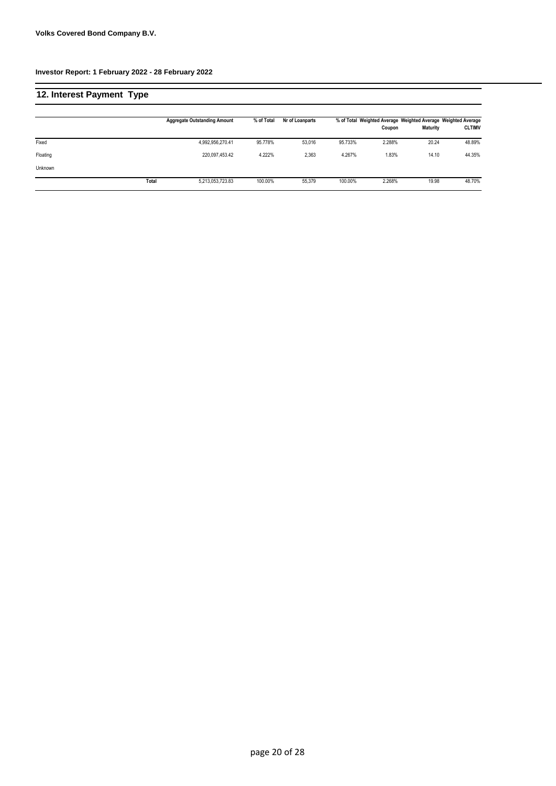| 12. Interest Payment Type |       |                                     |            |                 |         |        |                 |                                                                                |
|---------------------------|-------|-------------------------------------|------------|-----------------|---------|--------|-----------------|--------------------------------------------------------------------------------|
|                           |       | <b>Aggregate Outstanding Amount</b> | % of Total | Nr of Loanparts |         | Coupon | <b>Maturity</b> | % of Total Weighted Average Weighted Average Weighted Average<br><b>CLTIMV</b> |
| Fixed                     |       | 4,992,956,270.41                    | 95.778%    | 53,016          | 95.733% | 2.288% | 20.24           | 48.89%                                                                         |
| Floating                  |       | 220.097.453.42                      | 4.222%     | 2,363           | 4.267%  | 1.83%  | 14.10           | 44.35%                                                                         |
| Unknown                   |       |                                     |            |                 |         |        |                 |                                                                                |
|                           | Total | 5,213,053,723.83                    | 100.00%    | 55,379          | 100.00% | 2.268% | 19.98           | 48.70%                                                                         |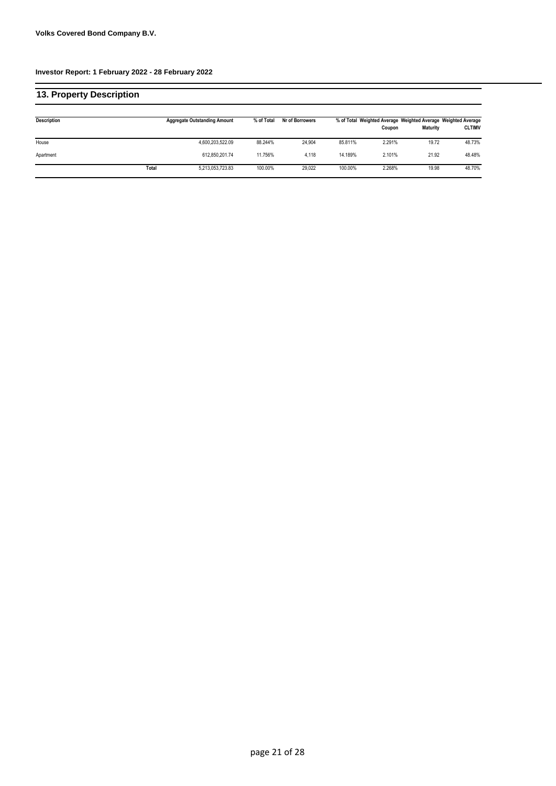| 13. Property Description |       |                                     |            |                 |         |        |                 |                                                                                |
|--------------------------|-------|-------------------------------------|------------|-----------------|---------|--------|-----------------|--------------------------------------------------------------------------------|
| Description              |       | <b>Aggregate Outstanding Amount</b> | % of Total | Nr of Borrowers |         | Coupon | <b>Maturity</b> | % of Total Weighted Average Weighted Average Weighted Average<br><b>CLTIMV</b> |
| House                    |       | 4,600,203,522.09                    | 88.244%    | 24.904          | 85.811% | 2.291% | 19.72           | 48.73%                                                                         |
| Apartment                |       | 612.850.201.74                      | 11.756%    | 4.118           | 14.189% | 2.101% | 21.92           | 48.48%                                                                         |
|                          | Total | 5,213,053,723.83                    | 100.00%    | 29.022          | 100.00% | 2.268% | 19.98           | 48.70%                                                                         |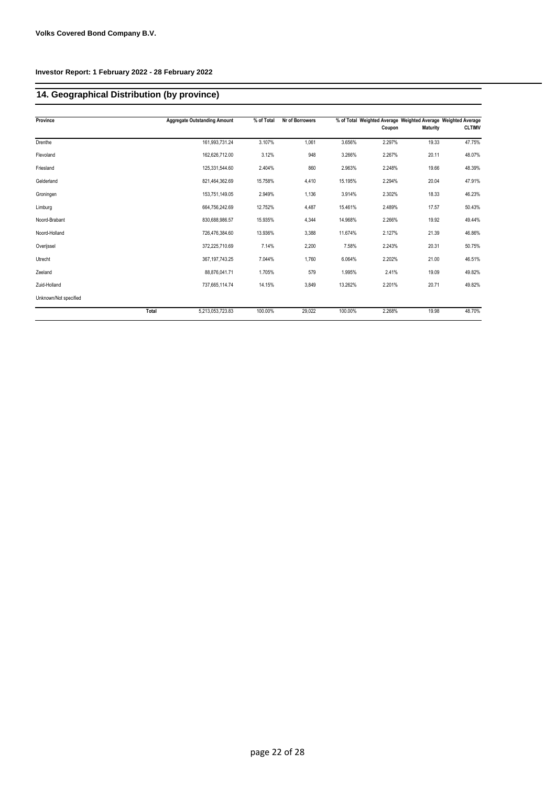# **14. Geographical Distribution (by province)**

| Province              | <b>Aggregate Outstanding Amount</b> | % of Total | Nr of Borrowers |         |        | % of Total Weighted Average Weighted Average Weighted Average |               |
|-----------------------|-------------------------------------|------------|-----------------|---------|--------|---------------------------------------------------------------|---------------|
|                       |                                     |            |                 |         | Coupon | <b>Maturity</b>                                               | <b>CLTIMV</b> |
| Drenthe               | 161,993,731.24                      | 3.107%     | 1,061           | 3.656%  | 2.297% | 19.33                                                         | 47.75%        |
| Flevoland             | 162,626,712.00                      | 3.12%      | 948             | 3.266%  | 2.267% | 20.11                                                         | 48.07%        |
| Friesland             | 125,331,544.60                      | 2.404%     | 860             | 2.963%  | 2.248% | 19.66                                                         | 48.39%        |
| Gelderland            | 821,464,362.69                      | 15.758%    | 4,410           | 15.195% | 2.294% | 20.04                                                         | 47.91%        |
| Groningen             | 153,751,149.05                      | 2.949%     | 1,136           | 3.914%  | 2.302% | 18.33                                                         | 46.23%        |
| Limburg               | 664,756,242.69                      | 12.752%    | 4,487           | 15.461% | 2.489% | 17.57                                                         | 50.43%        |
| Noord-Brabant         | 830.688.986.57                      | 15.935%    | 4,344           | 14.968% | 2.266% | 19.92                                                         | 49.44%        |
| Noord-Holland         | 726,476,384.60                      | 13.936%    | 3,388           | 11.674% | 2.127% | 21.39                                                         | 46.86%        |
| Overijssel            | 372,225,710.69                      | 7.14%      | 2,200           | 7.58%   | 2.243% | 20.31                                                         | 50.75%        |
| Utrecht               | 367, 197, 743. 25                   | 7.044%     | 1,760           | 6.064%  | 2.202% | 21.00                                                         | 46.51%        |
| Zeeland               | 88,876,041.71                       | 1.705%     | 579             | 1.995%  | 2.41%  | 19.09                                                         | 49.82%        |
| Zuid-Holland          | 737,665,114.74                      | 14.15%     | 3,849           | 13.262% | 2.201% | 20.71                                                         | 49.82%        |
| Unknown/Not specified |                                     |            |                 |         |        |                                                               |               |
| Total                 | 5,213,053,723.83                    | 100.00%    | 29,022          | 100.00% | 2.268% | 19.98                                                         | 48.70%        |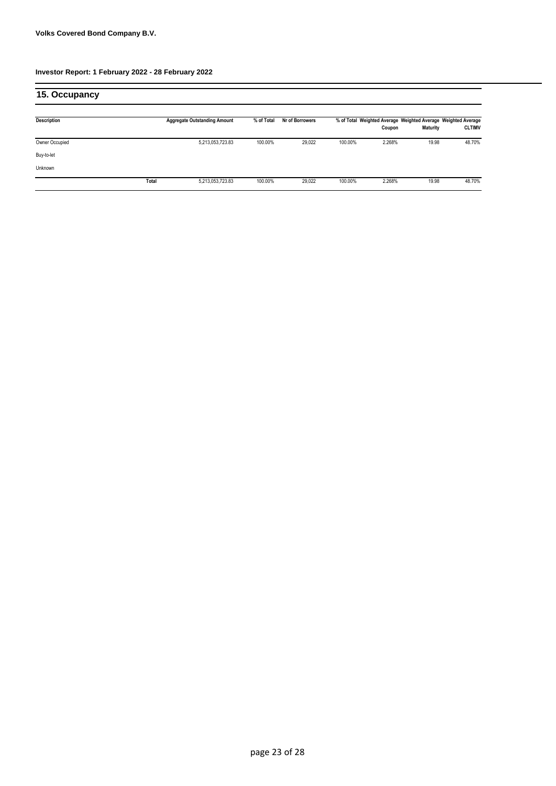| 15. Occupancy  |       |                                     |            |                 |         |        |                 |                                                                                |
|----------------|-------|-------------------------------------|------------|-----------------|---------|--------|-----------------|--------------------------------------------------------------------------------|
| Description    |       | <b>Aggregate Outstanding Amount</b> | % of Total | Nr of Borrowers |         | Coupon | <b>Maturity</b> | % of Total Weighted Average Weighted Average Weighted Average<br><b>CLTIMV</b> |
| Owner Occupied |       | 5,213,053,723.83                    | 100.00%    | 29,022          | 100.00% | 2.268% | 19.98           | 48.70%                                                                         |
| Buy-to-let     |       |                                     |            |                 |         |        |                 |                                                                                |
| Unknown        |       |                                     |            |                 |         |        |                 |                                                                                |
|                | Total | 5,213,053,723.83                    | 100.00%    | 29,022          | 100.00% | 2.268% | 19.98           | 48.70%                                                                         |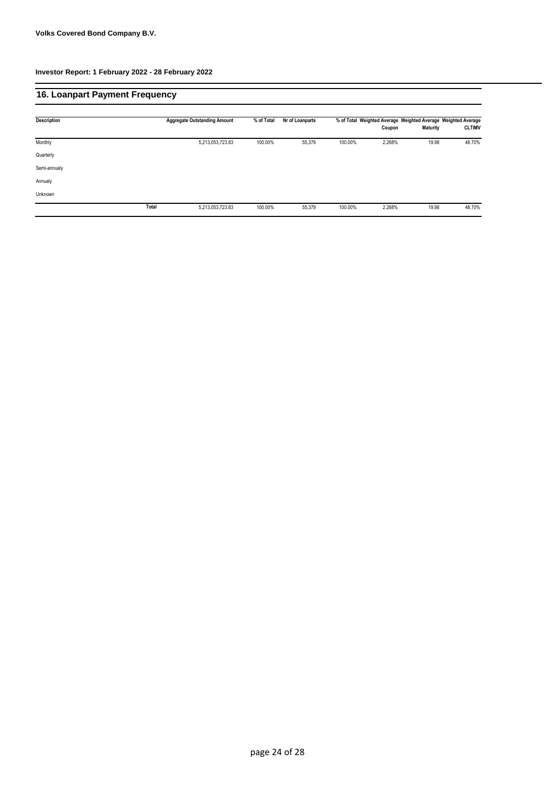| 16. Loanpart Payment Frequency |       |                                     |            |                 |         |        |                                                                                  |               |
|--------------------------------|-------|-------------------------------------|------------|-----------------|---------|--------|----------------------------------------------------------------------------------|---------------|
| <b>Description</b>             |       | <b>Aggregate Outstanding Amount</b> | % of Total | Nr of Loanparts |         | Coupon | % of Total Weighted Average Weighted Average Weighted Average<br><b>Maturity</b> | <b>CLTIMV</b> |
| Monthly                        |       | 5,213,053,723.83                    | 100.00%    | 55,379          | 100.00% | 2.268% | 19.98                                                                            | 48.70%        |
| Quarterly                      |       |                                     |            |                 |         |        |                                                                                  |               |
| Semi-annualy                   |       |                                     |            |                 |         |        |                                                                                  |               |
| Annualy                        |       |                                     |            |                 |         |        |                                                                                  |               |
| Unknown                        |       |                                     |            |                 |         |        |                                                                                  |               |
|                                | Total | 5,213,053,723.83                    | 100.00%    | 55,379          | 100.00% | 2.268% | 19.98                                                                            | 48.70%        |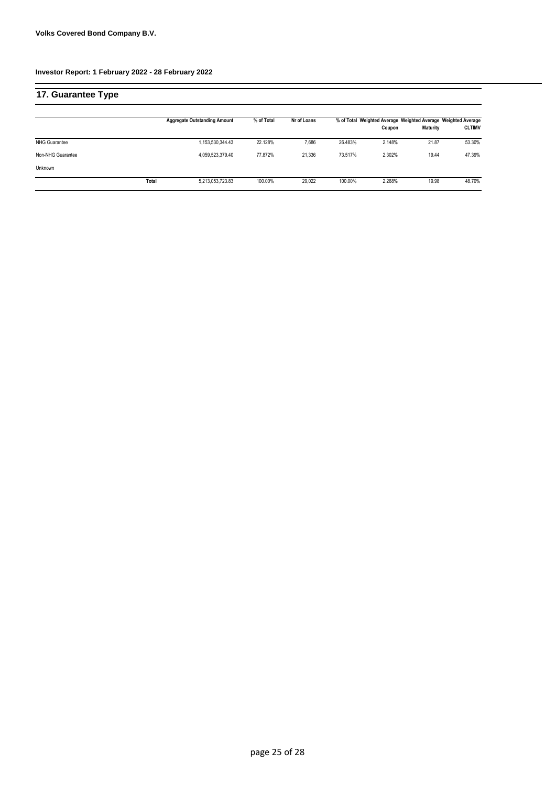| 17. Guarantee Type   |       |                                     |            |             |         |        |                 |                                                                                |
|----------------------|-------|-------------------------------------|------------|-------------|---------|--------|-----------------|--------------------------------------------------------------------------------|
|                      |       | <b>Aggregate Outstanding Amount</b> | % of Total | Nr of Loans |         | Coupon | <b>Maturity</b> | % of Total Weighted Average Weighted Average Weighted Average<br><b>CLTIMV</b> |
| <b>NHG Guarantee</b> |       | 1,153,530,344.43                    | 22.128%    | 7,686       | 26.483% | 2.148% | 21.87           | 53.30%                                                                         |
| Non-NHG Guarantee    |       | 4,059,523,379.40                    | 77.872%    | 21,336      | 73.517% | 2.302% | 19.44           | 47.39%                                                                         |
| Unknown              |       |                                     |            |             |         |        |                 |                                                                                |
|                      | Total | 5,213,053,723.83                    | 100.00%    | 29,022      | 100.00% | 2.268% | 19.98           | 48.70%                                                                         |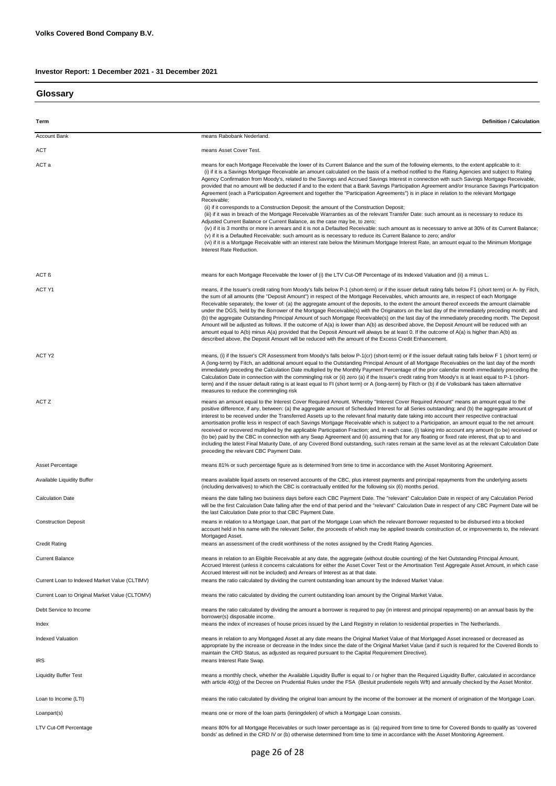# **Investor Report: 1 December 2021 - 31 December 2021**

**Glossary**

| Term                                                                     | <b>Definition / Calculation</b>                                                                                                                                                                                                                                                                                                                                                                                                                                                                                                                                                                                                                                                                                                                                                                                                                                                                                                                                                                                                                                                                                                                                                                                                                                                                                                                                                                                                                                                                                                        |
|--------------------------------------------------------------------------|----------------------------------------------------------------------------------------------------------------------------------------------------------------------------------------------------------------------------------------------------------------------------------------------------------------------------------------------------------------------------------------------------------------------------------------------------------------------------------------------------------------------------------------------------------------------------------------------------------------------------------------------------------------------------------------------------------------------------------------------------------------------------------------------------------------------------------------------------------------------------------------------------------------------------------------------------------------------------------------------------------------------------------------------------------------------------------------------------------------------------------------------------------------------------------------------------------------------------------------------------------------------------------------------------------------------------------------------------------------------------------------------------------------------------------------------------------------------------------------------------------------------------------------|
| <b>Account Bank</b>                                                      | means Rabobank Nederland.                                                                                                                                                                                                                                                                                                                                                                                                                                                                                                                                                                                                                                                                                                                                                                                                                                                                                                                                                                                                                                                                                                                                                                                                                                                                                                                                                                                                                                                                                                              |
| ACT                                                                      | means Asset Cover Test.                                                                                                                                                                                                                                                                                                                                                                                                                                                                                                                                                                                                                                                                                                                                                                                                                                                                                                                                                                                                                                                                                                                                                                                                                                                                                                                                                                                                                                                                                                                |
| ACT a                                                                    | means for each Mortgage Receivable the lower of its Current Balance and the sum of the following elements, to the extent applicable to it:<br>(i) if it is a Savings Mortgage Receivable an amount calculated on the basis of a method notified to the Rating Agencies and subject to Rating<br>Agency Confirmation from Moody's, related to the Savings and Accrued Savings Interest in connection with such Savings Mortgage Receivable,<br>provided that no amount will be deducted if and to the extent that a Bank Savings Participation Agreement and/or Insurance Savings Participation<br>Agreement (each a Participation Agreement and together the "Participation Agreements") is in place in relation to the relevant Mortgage<br>Receivable:<br>(ii) if it corresponds to a Construction Deposit: the amount of the Construction Deposit;<br>(iii) if it was in breach of the Mortgage Receivable Warranties as of the relevant Transfer Date: such amount as is necessary to reduce its<br>Adjusted Current Balance or Current Balance, as the case may be, to zero;<br>(iv) if it is 3 months or more in arrears and it is not a Defaulted Receivable: such amount as is necessary to arrive at 30% of its Current Balance;<br>(v) if it is a Defaulted Receivable: such amount as is necessary to reduce its Current Balance to zero; and/or<br>(vi) if it is a Mortgage Receivable with an interest rate below the Minimum Mortgage Interest Rate, an amount equal to the Minimum Mortgage<br>Interest Rate Reduction. |
| ACT ß                                                                    | means for each Mortgage Receivable the lower of (i) the LTV Cut-Off Percentage of its Indexed Valuation and (ii) a minus L.                                                                                                                                                                                                                                                                                                                                                                                                                                                                                                                                                                                                                                                                                                                                                                                                                                                                                                                                                                                                                                                                                                                                                                                                                                                                                                                                                                                                            |
| ACT Y1                                                                   | means, if the Issuer's credit rating from Moody's falls below P-1 (short-term) or if the issuer default rating falls below F1 (short term) or A- by Fitch,<br>the sum of all amounts (the "Deposit Amount") in respect of the Mortgage Receivables, which amounts are, in respect of each Mortgage<br>Receivable separately, the lower of: (a) the aggregate amount of the deposits, to the extent the amount thereof exceeds the amount claimable<br>under the DGS, held by the Borrower of the Mortgage Receivable(s) with the Originators on the last day of the immediately preceding month; and<br>(b) the aggregate Outstanding Principal Amount of such Mortgage Receivable(s) on the last day of the immediately preceding month. The Deposit<br>Amount will be adjusted as follows. If the outcome of A(a) is lower than A(b) as described above, the Deposit Amount will be reduced with an<br>amount equal to A(b) minus A(a) provided that the Deposit Amount will always be at least 0. If the outcome of A(a) is higher than A(b) as<br>described above, the Deposit Amount will be reduced with the amount of the Excess Credit Enhancement.                                                                                                                                                                                                                                                                                                                                                                            |
| ACT Y2                                                                   | means, (i) if the Issuer's CR Assessment from Moody's falls below P-1(cr) (short-term) or if the issuer default rating falls below F 1 (short term) or<br>A (long-term) by Fitch, an additional amount equal to the Outstanding Principal Amount of all Mortgage Receivables on the last day of the month<br>immediately preceding the Calculation Date multiplied by the Monthly Payment Percentage of the prior calendar month immediately preceding the<br>Calculation Date in connection with the commingling risk or (ii) zero (a) if the Issuer's credit rating from Moody's is at least equal to P-1 (short-<br>term) and if the issuer default rating is at least equal to FI (short term) or A (long-term) by Fitch or (b) if de Volksbank has taken alternative<br>measures to reduce the commingling risk                                                                                                                                                                                                                                                                                                                                                                                                                                                                                                                                                                                                                                                                                                                   |
| ACT Z                                                                    | means an amount equal to the Interest Cover Required Amount. Whereby "Interest Cover Required Amount" means an amount equal to the<br>positive difference, if any, between: (a) the aggregate amount of Scheduled Interest for all Series outstanding; and (b) the aggregate amount of<br>interest to be received under the Transferred Assets up to the relevant final maturity date taking into account their respective contractual<br>amortisation profile less in respect of each Savings Mortgage Receivable which is subject to a Participation, an amount equal to the net amount<br>received or recovered multiplied by the applicable Participation Fraction; and, in each case, (i) taking into account any amount (to be) received or<br>(to be) paid by the CBC in connection with any Swap Agreement and (ii) assuming that for any floating or fixed rate interest, that up to and<br>including the latest Final Maturity Date, of any Covered Bond outstanding, such rates remain at the same level as at the relevant Calculation Date<br>preceding the relevant CBC Payment Date.                                                                                                                                                                                                                                                                                                                                                                                                                                    |
| Asset Percentage                                                         | means 81% or such percentage figure as is determined from time to time in accordance with the Asset Monitoring Agreement.                                                                                                                                                                                                                                                                                                                                                                                                                                                                                                                                                                                                                                                                                                                                                                                                                                                                                                                                                                                                                                                                                                                                                                                                                                                                                                                                                                                                              |
| <b>Available Liquidity Buffer</b>                                        | means available liquid assets on reserved accounts of the CBC, plus interest payments and principal repayments from the underlying assets<br>(including derivatives) to which the CBC is contractually entitled for the following six (6) months period.                                                                                                                                                                                                                                                                                                                                                                                                                                                                                                                                                                                                                                                                                                                                                                                                                                                                                                                                                                                                                                                                                                                                                                                                                                                                               |
| <b>Calculation Date</b>                                                  | means the date falling two business days before each CBC Payment Date. The "relevant" Calculation Date in respect of any Calculation Period<br>will be the first Calculation Date falling after the end of that period and the "relevant" Calculation Date in respect of any CBC Payment Date will be<br>the last Calculation Date prior to that CBC Payment Date.                                                                                                                                                                                                                                                                                                                                                                                                                                                                                                                                                                                                                                                                                                                                                                                                                                                                                                                                                                                                                                                                                                                                                                     |
| <b>Construction Deposit</b>                                              | means in relation to a Mortgage Loan, that part of the Mortgage Loan which the relevant Borrower requested to be disbursed into a blocked<br>account held in his name with the relevant Seller, the proceeds of which may be applied towards construction of, or improvements to, the relevant<br>Mortgaged Asset.                                                                                                                                                                                                                                                                                                                                                                                                                                                                                                                                                                                                                                                                                                                                                                                                                                                                                                                                                                                                                                                                                                                                                                                                                     |
| <b>Credit Rating</b>                                                     | means an assessment of the credit worthiness of the notes assigned by the Credit Rating Agencies.                                                                                                                                                                                                                                                                                                                                                                                                                                                                                                                                                                                                                                                                                                                                                                                                                                                                                                                                                                                                                                                                                                                                                                                                                                                                                                                                                                                                                                      |
| <b>Current Balance</b>                                                   | means in relation to an Eligible Receivable at any date, the aggregate (without double counting) of the Net Outstanding Principal Amount,<br>Accrued Interest (unless it concerns calculations for either the Asset Cover Test or the Amortisation Test Aggregate Asset Amount, in which case<br>Accrued Interest will not be included) and Arrears of Interest as at that date.                                                                                                                                                                                                                                                                                                                                                                                                                                                                                                                                                                                                                                                                                                                                                                                                                                                                                                                                                                                                                                                                                                                                                       |
| Current Loan to Indexed Market Value (CLTIMV)                            | means the ratio calculated by dividing the current outstanding loan amount by the Indexed Market Value.                                                                                                                                                                                                                                                                                                                                                                                                                                                                                                                                                                                                                                                                                                                                                                                                                                                                                                                                                                                                                                                                                                                                                                                                                                                                                                                                                                                                                                |
| Current Loan to Original Market Value (CLTOMV)<br>Debt Service to Income | means the ratio calculated by dividing the current outstanding loan amount by the Original Market Value.<br>means the ratio calculated by dividing the amount a borrower is required to pay (in interest and principal repayments) on an annual basis by the                                                                                                                                                                                                                                                                                                                                                                                                                                                                                                                                                                                                                                                                                                                                                                                                                                                                                                                                                                                                                                                                                                                                                                                                                                                                           |
|                                                                          | borrower(s) disposable income.                                                                                                                                                                                                                                                                                                                                                                                                                                                                                                                                                                                                                                                                                                                                                                                                                                                                                                                                                                                                                                                                                                                                                                                                                                                                                                                                                                                                                                                                                                         |
| Index                                                                    | means the index of increases of house prices issued by the Land Registry in relation to residential properties in The Netherlands.                                                                                                                                                                                                                                                                                                                                                                                                                                                                                                                                                                                                                                                                                                                                                                                                                                                                                                                                                                                                                                                                                                                                                                                                                                                                                                                                                                                                     |
| <b>Indexed Valuation</b><br><b>IRS</b>                                   | means in relation to any Mortgaged Asset at any date means the Original Market Value of that Mortgaged Asset increased or decreased as<br>appropriate by the increase or decrease in the Index since the date of the Original Market Value (and if such is required for the Covered Bonds to<br>maintain the CRD Status, as adjusted as required pursuant to the Capital Requirement Directive).<br>means Interest Rate Swap.                                                                                                                                                                                                                                                                                                                                                                                                                                                                                                                                                                                                                                                                                                                                                                                                                                                                                                                                                                                                                                                                                                          |
| <b>Liquidity Buffer Test</b>                                             | means a monthly check, whether the Available Liquidity Buffer is equal to / or higher than the Required Liquidity Buffer, calculated in accordance<br>with article 40(g) of the Decree on Prudential Rules under the FSA (Besluit prudentiele regels Wft) and annually checked by the Asset Monitor.                                                                                                                                                                                                                                                                                                                                                                                                                                                                                                                                                                                                                                                                                                                                                                                                                                                                                                                                                                                                                                                                                                                                                                                                                                   |
| Loan to Income (LTI)                                                     | means the ratio calculated by dividing the original loan amount by the income of the borrower at the moment of origination of the Mortgage Loan.                                                                                                                                                                                                                                                                                                                                                                                                                                                                                                                                                                                                                                                                                                                                                                                                                                                                                                                                                                                                                                                                                                                                                                                                                                                                                                                                                                                       |
| Loanpart(s)                                                              | means one or more of the loan parts (leningdelen) of which a Mortgage Loan consists.                                                                                                                                                                                                                                                                                                                                                                                                                                                                                                                                                                                                                                                                                                                                                                                                                                                                                                                                                                                                                                                                                                                                                                                                                                                                                                                                                                                                                                                   |
| LTV Cut-Off Percentage                                                   | means 80% for all Mortgage Receivables or such lower percentage as is (a) required from time to time for Covered Bonds to qualify as 'covered<br>bonds' as defined in the CRD IV or (b) otherwise determined from time to time in accordance with the Asset Monitoring Agreement.                                                                                                                                                                                                                                                                                                                                                                                                                                                                                                                                                                                                                                                                                                                                                                                                                                                                                                                                                                                                                                                                                                                                                                                                                                                      |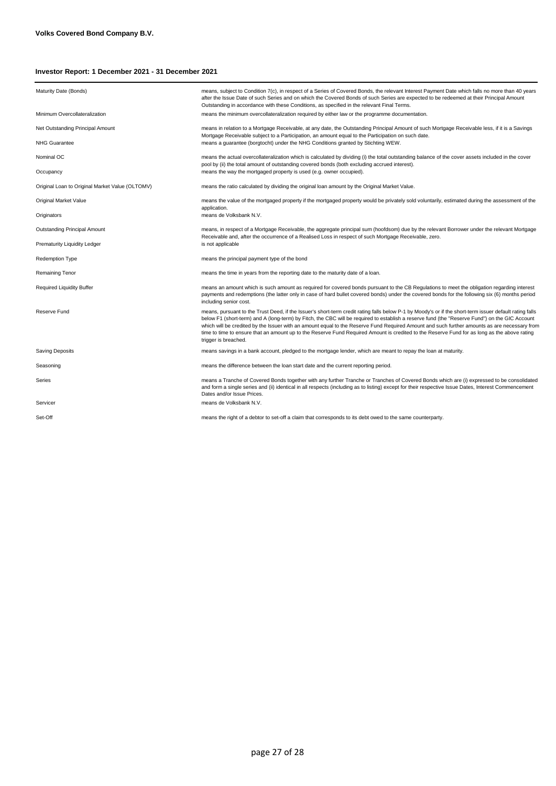# **Investor Report: 1 December 2021 - 31 December 2021**

| Maturity Date (Bonds)                           | means, subject to Condition 7(c), in respect of a Series of Covered Bonds, the relevant Interest Payment Date which falls no more than 40 years<br>after the Issue Date of such Series and on which the Covered Bonds of such Series are expected to be redeemed at their Principal Amount<br>Outstanding in accordance with these Conditions, as specified in the relevant Final Terms.                                                                                                                                                                                                                                          |
|-------------------------------------------------|-----------------------------------------------------------------------------------------------------------------------------------------------------------------------------------------------------------------------------------------------------------------------------------------------------------------------------------------------------------------------------------------------------------------------------------------------------------------------------------------------------------------------------------------------------------------------------------------------------------------------------------|
| Minimum Overcollateralization                   | means the minimum overcollateralization required by either law or the programme documentation.                                                                                                                                                                                                                                                                                                                                                                                                                                                                                                                                    |
| Net Outstanding Principal Amount                | means in relation to a Mortgage Receivable, at any date, the Outstanding Principal Amount of such Mortgage Receivable less, if it is a Savings                                                                                                                                                                                                                                                                                                                                                                                                                                                                                    |
| <b>NHG Guarantee</b>                            | Mortgage Receivable subject to a Participation, an amount equal to the Participation on such date.<br>means a quarantee (borgtocht) under the NHG Conditions granted by Stichting WEW.                                                                                                                                                                                                                                                                                                                                                                                                                                            |
| Nominal OC                                      | means the actual overcollateralization which is calculated by dividing (i) the total outstanding balance of the cover assets included in the cover<br>pool by (ii) the total amount of outstanding covered bonds (both excluding accrued interest).                                                                                                                                                                                                                                                                                                                                                                               |
| Occupancy                                       | means the way the mortgaged property is used (e.g. owner occupied).                                                                                                                                                                                                                                                                                                                                                                                                                                                                                                                                                               |
| Original Loan to Original Market Value (OLTOMV) | means the ratio calculated by dividing the original loan amount by the Original Market Value.                                                                                                                                                                                                                                                                                                                                                                                                                                                                                                                                     |
| Original Market Value                           | means the value of the mortgaged property if the mortgaged property would be privately sold voluntarily, estimated during the assessment of the<br>application.                                                                                                                                                                                                                                                                                                                                                                                                                                                                   |
| Originators                                     | means de Volksbank N.V.                                                                                                                                                                                                                                                                                                                                                                                                                                                                                                                                                                                                           |
| <b>Outstanding Principal Amount</b>             | means, in respect of a Mortgage Receivable, the aggregate principal sum (hoofdsom) due by the relevant Borrower under the relevant Mortgage<br>Receivable and, after the occurrence of a Realised Loss in respect of such Mortgage Receivable, zero.                                                                                                                                                                                                                                                                                                                                                                              |
| Prematurity Liquidity Ledger                    | is not applicable                                                                                                                                                                                                                                                                                                                                                                                                                                                                                                                                                                                                                 |
| Redemption Type                                 | means the principal payment type of the bond                                                                                                                                                                                                                                                                                                                                                                                                                                                                                                                                                                                      |
| <b>Remaining Tenor</b>                          | means the time in years from the reporting date to the maturity date of a loan.                                                                                                                                                                                                                                                                                                                                                                                                                                                                                                                                                   |
| <b>Required Liquidity Buffer</b>                | means an amount which is such amount as required for covered bonds pursuant to the CB Regulations to meet the obligation regarding interest<br>payments and redemptions (the latter only in case of hard bullet covered bonds) under the covered bonds for the following six (6) months period<br>including senior cost.                                                                                                                                                                                                                                                                                                          |
| Reserve Fund                                    | means, pursuant to the Trust Deed, if the Issuer's short-term credit rating falls below P-1 by Moody's or if the short-term issuer default rating falls<br>below F1 (short-term) and A (long-term) by Fitch, the CBC will be required to establish a reserve fund (the "Reserve Fund") on the GIC Account<br>which will be credited by the Issuer with an amount equal to the Reserve Fund Required Amount and such further amounts as are necessary from<br>time to time to ensure that an amount up to the Reserve Fund Required Amount is credited to the Reserve Fund for as long as the above rating<br>trigger is breached. |
| <b>Saving Deposits</b>                          | means savings in a bank account, pledged to the mortgage lender, which are meant to repay the loan at maturity.                                                                                                                                                                                                                                                                                                                                                                                                                                                                                                                   |
| Seasoning                                       | means the difference between the loan start date and the current reporting period.                                                                                                                                                                                                                                                                                                                                                                                                                                                                                                                                                |
| Series                                          | means a Tranche of Covered Bonds together with any further Tranche or Tranches of Covered Bonds which are (i) expressed to be consolidated<br>and form a single series and (ii) identical in all respects (including as to listing) except for their respective Issue Dates, Interest Commencement<br>Dates and/or Issue Prices.                                                                                                                                                                                                                                                                                                  |
| Servicer                                        | means de Volksbank N.V.                                                                                                                                                                                                                                                                                                                                                                                                                                                                                                                                                                                                           |
| Set-Off                                         | means the right of a debtor to set-off a claim that corresponds to its debt owed to the same counterparty.                                                                                                                                                                                                                                                                                                                                                                                                                                                                                                                        |